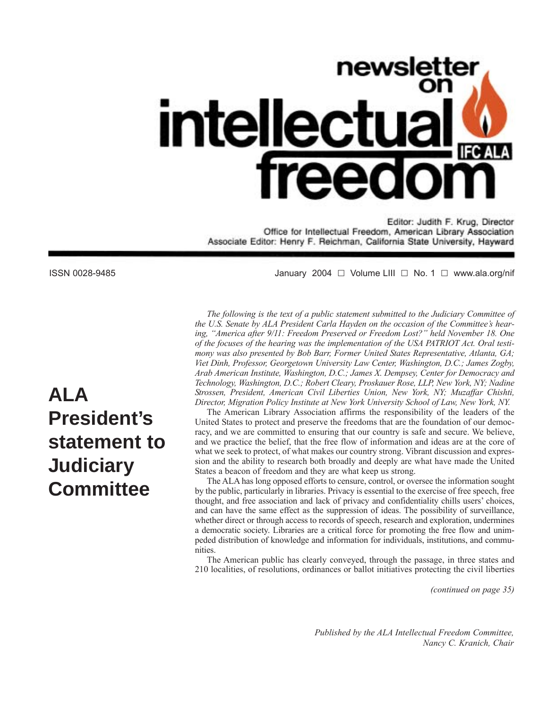# newsletter <u>intellec</u>

Editor: Judith F. Krug, Director Office for Intellectual Freedom, American Library Association Associate Editor: Henry F. Reichman, California State University, Hayward

ISSN 0028-9485 January 2004 Volume LIII No. 1 www.ala.org/nif

*The following is the text of a public statement submitted to the Judiciary Committee of the U.S. Senate by ALA President Carla Hayden on the occasion of the Committee's hearing, "America after 9/11: Freedom Preserved or Freedom Lost?" held November 18. One of the focuses of the hearing was the implementation of the USA PATRIOT Act. Oral testimony was also presented by Bob Barr, Former United States Representative, Atlanta, GA; Viet Dinh, Professor, Georgetown University Law Center, Washington, D.C.; James Zogby, Arab American Institute, Washington, D.C.; James X. Dempsey, Center for Democracy and Technology, Washington, D.C.; Robert Cleary, Proskauer Rose, LLP, New York, NY; Nadine Strossen, President, American Civil Liberties Union, New York, NY; Muzaffar Chishti, Director, Migration Policy Institute at New York University School of Law, New York, NY.*

The American Library Association affirms the responsibility of the leaders of the United States to protect and preserve the freedoms that are the foundation of our democracy, and we are committed to ensuring that our country is safe and secure. We believe, and we practice the belief, that the free flow of information and ideas are at the core of what we seek to protect, of what makes our country strong. Vibrant discussion and expression and the ability to research both broadly and deeply are what have made the United States a beacon of freedom and they are what keep us strong.

The ALA has long opposed efforts to censure, control, or oversee the information sought by the public, particularly in libraries. Privacy is essential to the exercise of free speech, free thought, and free association and lack of privacy and confidentiality chills users' choices, and can have the same effect as the suppression of ideas. The possibility of surveillance, whether direct or through access to records of speech, research and exploration, undermines a democratic society. Libraries are a critical force for promoting the free flow and unimpeded distribution of knowledge and information for individuals, institutions, and communities.

The American public has clearly conveyed, through the passage, in three states and 210 localities, of resolutions, ordinances or ballot initiatives protecting the civil liberties

*(continued on page 35)*

*Published by the ALA Intellectual Freedom Committee, Nancy C. Kranich, Chair*

# **ALA President's statement to Judiciary Committee**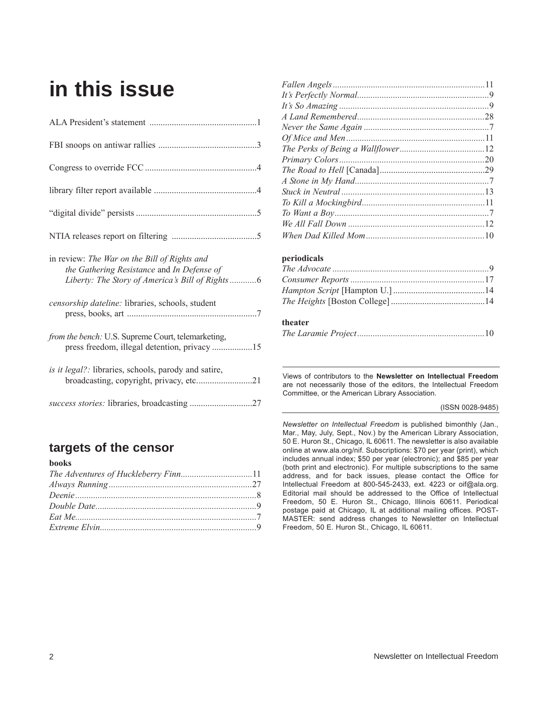# **in this issue**

| in review: The War on the Bill of Rights and<br>the Gathering Resistance and In Defense of<br>Liberty: The Story of America's Bill of Rights6 |
|-----------------------------------------------------------------------------------------------------------------------------------------------|
| censorship dateline: libraries, schools, student                                                                                              |
| from the bench: U.S. Supreme Court, telemarketing,<br>press freedom, illegal detention, privacy 15                                            |
| is it legal?: libraries, schools, parody and satire,<br>broadcasting, copyright, privacy, etc21                                               |
| success stories: libraries, broadcasting 27                                                                                                   |

## **targets of the censor**

| books |  |
|-------|--|
|       |  |
|       |  |
|       |  |
|       |  |
|       |  |
|       |  |
|       |  |

## **periodicals**

## **theater**

|--|--|--|--|--|--|

Views of contributors to the **Newsletter on Intellectual Freedom** are not necessarily those of the editors, the Intellectual Freedom Committee, or the American Library Association.

#### (ISSN 0028-9485)

*Newsletter on Intellectual Freedom* is published bimonthly (Jan., Mar., May, July, Sept., Nov.) by the American Library Association, 50 E. Huron St., Chicago, IL 60611. The newsletter is also available online at www.ala.org/nif. Subscriptions: \$70 per year (print), which includes annual index; \$50 per year (electronic); and \$85 per year (both print and electronic). For multiple subscriptions to the same address, and for back issues, please contact the Office for Intellectual Freedom at 800-545-2433, ext. 4223 or oif@ala.org. Editorial mail should be addressed to the Office of Intellectual Freedom, 50 E. Huron St., Chicago, Illinois 60611. Periodical postage paid at Chicago, IL at additional mailing offices. POST-MASTER: send address changes to Newsletter on Intellectual Freedom, 50 E. Huron St., Chicago, IL 60611.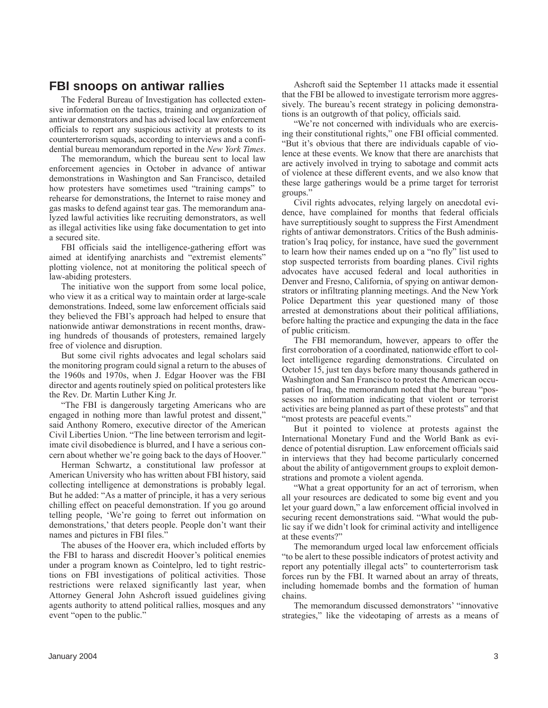## **FBI snoops on antiwar rallies**

The Federal Bureau of Investigation has collected extensive information on the tactics, training and organization of antiwar demonstrators and has advised local law enforcement officials to report any suspicious activity at protests to its counterterrorism squads, according to interviews and a confidential bureau memorandum reported in the *New York Times*.

The memorandum, which the bureau sent to local law enforcement agencies in October in advance of antiwar demonstrations in Washington and San Francisco, detailed how protesters have sometimes used "training camps" to rehearse for demonstrations, the Internet to raise money and gas masks to defend against tear gas. The memorandum analyzed lawful activities like recruiting demonstrators, as well as illegal activities like using fake documentation to get into a secured site.

FBI officials said the intelligence-gathering effort was aimed at identifying anarchists and "extremist elements" plotting violence, not at monitoring the political speech of law-abiding protesters.

The initiative won the support from some local police, who view it as a critical way to maintain order at large-scale demonstrations. Indeed, some law enforcement officials said they believed the FBI's approach had helped to ensure that nationwide antiwar demonstrations in recent months, drawing hundreds of thousands of protesters, remained largely free of violence and disruption.

But some civil rights advocates and legal scholars said the monitoring program could signal a return to the abuses of the 1960s and 1970s, when J. Edgar Hoover was the FBI director and agents routinely spied on political protesters like the Rev. Dr. Martin Luther King Jr.

"The FBI is dangerously targeting Americans who are engaged in nothing more than lawful protest and dissent," said Anthony Romero, executive director of the American Civil Liberties Union. "The line between terrorism and legitimate civil disobedience is blurred, and I have a serious concern about whether we're going back to the days of Hoover."

Herman Schwartz, a constitutional law professor at American University who has written about FBI history, said collecting intelligence at demonstrations is probably legal. But he added: "As a matter of principle, it has a very serious chilling effect on peaceful demonstration. If you go around telling people, 'We're going to ferret out information on demonstrations,' that deters people. People don't want their names and pictures in FBI files."

The abuses of the Hoover era, which included efforts by the FBI to harass and discredit Hoover's political enemies under a program known as Cointelpro, led to tight restrictions on FBI investigations of political activities. Those restrictions were relaxed significantly last year, when Attorney General John Ashcroft issued guidelines giving agents authority to attend political rallies, mosques and any event "open to the public."

Ashcroft said the September 11 attacks made it essential that the FBI be allowed to investigate terrorism more aggressively. The bureau's recent strategy in policing demonstrations is an outgrowth of that policy, officials said.

"We're not concerned with individuals who are exercising their constitutional rights," one FBI official commented. "But it's obvious that there are individuals capable of violence at these events. We know that there are anarchists that are actively involved in trying to sabotage and commit acts of violence at these different events, and we also know that these large gatherings would be a prime target for terrorist groups."

Civil rights advocates, relying largely on anecdotal evidence, have complained for months that federal officials have surreptitiously sought to suppress the First Amendment rights of antiwar demonstrators. Critics of the Bush administration's Iraq policy, for instance, have sued the government to learn how their names ended up on a "no fly" list used to stop suspected terrorists from boarding planes. Civil rights advocates have accused federal and local authorities in Denver and Fresno, California, of spying on antiwar demonstrators or infiltrating planning meetings. And the New York Police Department this year questioned many of those arrested at demonstrations about their political affiliations, before halting the practice and expunging the data in the face of public criticism.

The FBI memorandum, however, appears to offer the first corroboration of a coordinated, nationwide effort to collect intelligence regarding demonstrations. Circulated on October 15, just ten days before many thousands gathered in Washington and San Francisco to protest the American occupation of Iraq, the memorandum noted that the bureau "possesses no information indicating that violent or terrorist activities are being planned as part of these protests" and that "most protests are peaceful events."

But it pointed to violence at protests against the International Monetary Fund and the World Bank as evidence of potential disruption. Law enforcement officials said in interviews that they had become particularly concerned about the ability of antigovernment groups to exploit demonstrations and promote a violent agenda.

"What a great opportunity for an act of terrorism, when all your resources are dedicated to some big event and you let your guard down," a law enforcement official involved in securing recent demonstrations said. "What would the public say if we didn't look for criminal activity and intelligence at these events?"

The memorandum urged local law enforcement officials "to be alert to these possible indicators of protest activity and report any potentially illegal acts" to counterterrorism task forces run by the FBI. It warned about an array of threats, including homemade bombs and the formation of human chains.

The memorandum discussed demonstrators' "innovative strategies," like the videotaping of arrests as a means of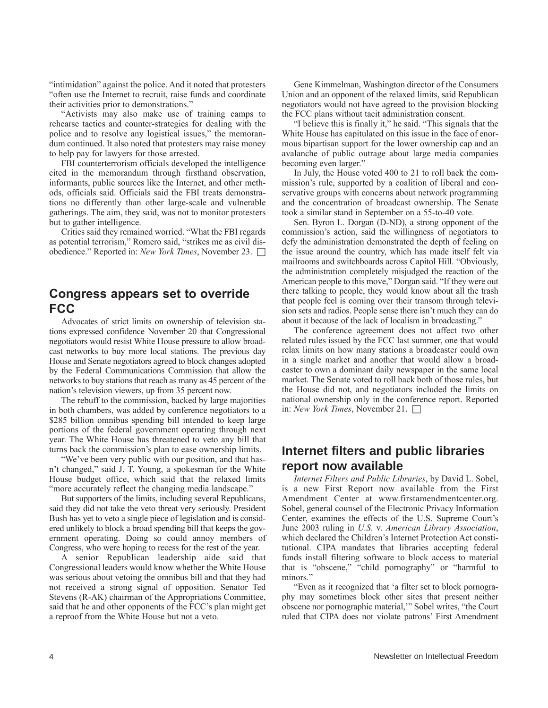"intimidation" against the police. And it noted that protesters "often use the Internet to recruit, raise funds and coordinate their activities prior to demonstrations."

"Activists may also make use of training camps to rehearse tactics and counter-strategies for dealing with the police and to resolve any logistical issues," the memorandum continued. It also noted that protesters may raise money to help pay for lawyers for those arrested.

FBI counterterrorism officials developed the intelligence cited in the memorandum through firsthand observation, informants, public sources like the Internet, and other methods, officials said. Officials said the FBI treats demonstrations no differently than other large-scale and vulnerable gatherings. The aim, they said, was not to monitor protesters but to gather intelligence.

Critics said they remained worried. "What the FBI regards as potential terrorism," Romero said, "strikes me as civil disobedience." Reported in: *New York Times*, November 23. □

## **Congress appears set to override FCC**

Advocates of strict limits on ownership of television stations expressed confidence November 20 that Congressional negotiators would resist White House pressure to allow broadcast networks to buy more local stations. The previous day House and Senate negotiators agreed to block changes adopted by the Federal Communications Commission that allow the networks to buy stations that reach as many as 45 percent of the nation's television viewers, up from 35 percent now.

The rebuff to the commission, backed by large majorities in both chambers, was added by conference negotiators to a \$285 billion omnibus spending bill intended to keep large portions of the federal government operating through next year. The White House has threatened to veto any bill that turns back the commission's plan to ease ownership limits.

"We've been very public with our position, and that hasn't changed," said J. T. Young, a spokesman for the White House budget office, which said that the relaxed limits "more accurately reflect the changing media landscape."

But supporters of the limits, including several Republicans, said they did not take the veto threat very seriously. President Bush has yet to veto a single piece of legislation and is considered unlikely to block a broad spending bill that keeps the government operating. Doing so could annoy members of Congress, who were hoping to recess for the rest of the year.

A senior Republican leadership aide said that Congressional leaders would know whether the White House was serious about vetoing the omnibus bill and that they had not received a strong signal of opposition. Senator Ted Stevens (R-AK) chairman of the Appropriations Committee, said that he and other opponents of the FCC's plan might get a reproof from the White House but not a veto.

Gene Kimmelman, Washington director of the Consumers Union and an opponent of the relaxed limits, said Republican negotiators would not have agreed to the provision blocking the FCC plans without tacit administration consent.

"I believe this is finally it," he said. "This signals that the White House has capitulated on this issue in the face of enormous bipartisan support for the lower ownership cap and an avalanche of public outrage about large media companies becoming even larger."

In July, the House voted 400 to 21 to roll back the commission's rule, supported by a coalition of liberal and conservative groups with concerns about network programming and the concentration of broadcast ownership. The Senate took a similar stand in September on a 55-to-40 vote.

Sen. Byron L. Dorgan (D-ND), a strong opponent of the commission's action, said the willingness of negotiators to defy the administration demonstrated the depth of feeling on the issue around the country, which has made itself felt via mailrooms and switchboards across Capitol Hill. "Obviously, the administration completely misjudged the reaction of the American people to this move," Dorgan said. "If they were out there talking to people, they would know about all the trash that people feel is coming over their transom through television sets and radios. People sense there isn't much they can do about it because of the lack of localism in broadcasting."

The conference agreement does not affect two other related rules issued by the FCC last summer, one that would relax limits on how many stations a broadcaster could own in a single market and another that would allow a broadcaster to own a dominant daily newspaper in the same local market. The Senate voted to roll back both of those rules, but the House did not, and negotiators included the limits on national ownership only in the conference report. Reported in: *New York Times*, November 21.  $\Box$ 

## **Internet filters and public libraries report now available**

*Internet Filters and Public Libraries*, by David L. Sobel, is a new First Report now available from the First Amendment Center at www.firstamendmentcenter.org. Sobel, general counsel of the Electronic Privacy Information Center, examines the effects of the U.S. Supreme Court's June 2003 ruling in *U.S*. v. *American Library Association*, which declared the Children's Internet Protection Act constitutional. CIPA mandates that libraries accepting federal funds install filtering software to block access to material that is "obscene," "child pornography" or "harmful to minors."

"Even as it recognized that 'a filter set to block pornography may sometimes block other sites that present neither obscene nor pornographic material,'" Sobel writes, "the Court ruled that CIPA does not violate patrons' First Amendment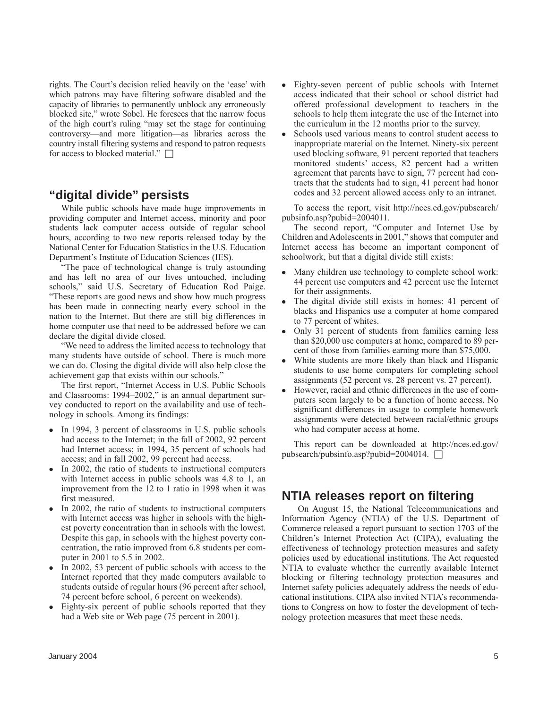rights. The Court's decision relied heavily on the 'ease' with which patrons may have filtering software disabled and the capacity of libraries to permanently unblock any erroneously blocked site," wrote Sobel. He foresees that the narrow focus of the high court's ruling "may set the stage for continuing controversy—and more litigation—as libraries across the country install filtering systems and respond to patron requests for access to blocked material."  $\Box$ 

## **"digital divide" persists**

While public schools have made huge improvements in providing computer and Internet access, minority and poor students lack computer access outside of regular school hours, according to two new reports released today by the National Center for Education Statistics in the U.S. Education Department's Institute of Education Sciences (IES).

"The pace of technological change is truly astounding and has left no area of our lives untouched, including schools," said U.S. Secretary of Education Rod Paige. "These reports are good news and show how much progress has been made in connecting nearly every school in the nation to the Internet. But there are still big differences in home computer use that need to be addressed before we can declare the digital divide closed.

"We need to address the limited access to technology that many students have outside of school. There is much more we can do. Closing the digital divide will also help close the achievement gap that exists within our schools."

The first report, "Internet Access in U.S. Public Schools and Classrooms: 1994–2002," is an annual department survey conducted to report on the availability and use of technology in schools. Among its findings:

- In 1994, 3 percent of classrooms in U.S. public schools had access to the Internet; in the fall of 2002, 92 percent had Internet access; in 1994, 35 percent of schools had access; and in fall 2002, 99 percent had access.
- In 2002, the ratio of students to instructional computers with Internet access in public schools was 4.8 to 1, an improvement from the 12 to 1 ratio in 1998 when it was first measured.
- In 2002, the ratio of students to instructional computers with Internet access was higher in schools with the highest poverty concentration than in schools with the lowest. Despite this gap, in schools with the highest poverty concentration, the ratio improved from 6.8 students per computer in 2001 to 5.5 in 2002.
- In 2002, 53 percent of public schools with access to the Internet reported that they made computers available to students outside of regular hours (96 percent after school, 74 percent before school, 6 percent on weekends).
- Eighty-six percent of public schools reported that they had a Web site or Web page (75 percent in 2001).
- Eighty-seven percent of public schools with Internet access indicated that their school or school district had offered professional development to teachers in the schools to help them integrate the use of the Internet into the curriculum in the 12 months prior to the survey.
- Schools used various means to control student access to inappropriate material on the Internet. Ninety-six percent used blocking software, 91 percent reported that teachers monitored students' access, 82 percent had a written agreement that parents have to sign, 77 percent had contracts that the students had to sign, 41 percent had honor codes and 32 percent allowed access only to an intranet.

To access the report, visit http://nces.ed.gov/pubsearch/ pubsinfo.asp?pubid=2004011.

The second report, "Computer and Internet Use by Children and Adolescents in 2001," shows that computer and Internet access has become an important component of schoolwork, but that a digital divide still exists:

- Many children use technology to complete school work: 44 percent use computers and 42 percent use the Internet for their assignments.
- The digital divide still exists in homes: 41 percent of blacks and Hispanics use a computer at home compared to 77 percent of whites.
- Only 31 percent of students from families earning less than \$20,000 use computers at home, compared to 89 percent of those from families earning more than \$75,000.
- White students are more likely than black and Hispanic students to use home computers for completing school assignments (52 percent vs. 28 percent vs. 27 percent).
- However, racial and ethnic differences in the use of computers seem largely to be a function of home access. No significant differences in usage to complete homework assignments were detected between racial/ethnic groups who had computer access at home.

This report can be downloaded at http://nces.ed.gov/ pubsearch/pubsinfo.asp?pubid=2004014.

## **NTIA releases report on filtering**

On August 15, the National Telecommunications and Information Agency (NTIA) of the U.S. Department of Commerce released a report pursuant to section 1703 of the Children's Internet Protection Act (CIPA), evaluating the effectiveness of technology protection measures and safety policies used by educational institutions. The Act requested NTIA to evaluate whether the currently available Internet blocking or filtering technology protection measures and Internet safety policies adequately address the needs of educational institutions. CIPA also invited NTIA's recommendations to Congress on how to foster the development of technology protection measures that meet these needs.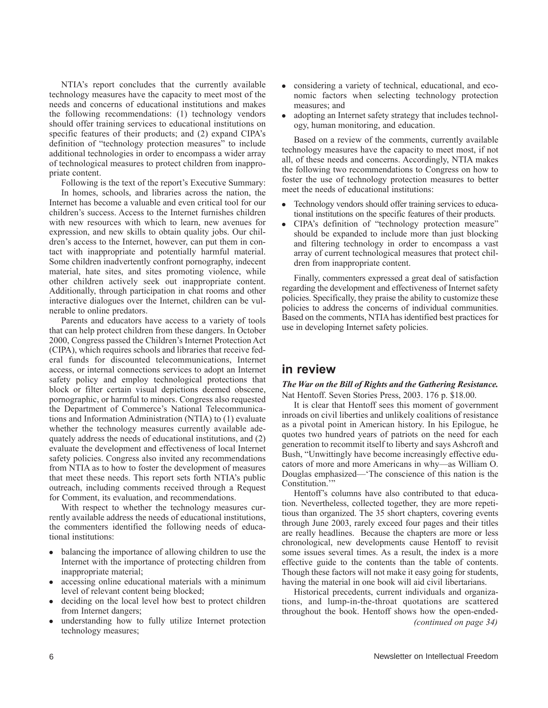NTIA's report concludes that the currently available technology measures have the capacity to meet most of the needs and concerns of educational institutions and makes the following recommendations: (1) technology vendors should offer training services to educational institutions on specific features of their products; and (2) expand CIPA's definition of "technology protection measures" to include additional technologies in order to encompass a wider array of technological measures to protect children from inappropriate content.

Following is the text of the report's Executive Summary: In homes, schools, and libraries across the nation, the Internet has become a valuable and even critical tool for our children's success. Access to the Internet furnishes children with new resources with which to learn, new avenues for expression, and new skills to obtain quality jobs. Our children's access to the Internet, however, can put them in contact with inappropriate and potentially harmful material. Some children inadvertently confront pornography, indecent material, hate sites, and sites promoting violence, while other children actively seek out inappropriate content. Additionally, through participation in chat rooms and other interactive dialogues over the Internet, children can be vulnerable to online predators.

Parents and educators have access to a variety of tools that can help protect children from these dangers. In October 2000, Congress passed the Children's Internet Protection Act (CIPA), which requires schools and libraries that receive federal funds for discounted telecommunications, Internet access, or internal connections services to adopt an Internet safety policy and employ technological protections that block or filter certain visual depictions deemed obscene, pornographic, or harmful to minors. Congress also requested the Department of Commerce's National Telecommunications and Information Administration (NTIA) to (1) evaluate whether the technology measures currently available adequately address the needs of educational institutions, and (2) evaluate the development and effectiveness of local Internet safety policies. Congress also invited any recommendations from NTIA as to how to foster the development of measures that meet these needs. This report sets forth NTIA's public outreach, including comments received through a Request for Comment, its evaluation, and recommendations.

With respect to whether the technology measures currently available address the needs of educational institutions, the commenters identified the following needs of educational institutions:

- balancing the importance of allowing children to use the Internet with the importance of protecting children from inappropriate material;
- accessing online educational materials with a minimum level of relevant content being blocked;
- deciding on the local level how best to protect children from Internet dangers;
- understanding how to fully utilize Internet protection technology measures;
- considering a variety of technical, educational, and economic factors when selecting technology protection measures; and
- adopting an Internet safety strategy that includes technology, human monitoring, and education.

Based on a review of the comments, currently available technology measures have the capacity to meet most, if not all, of these needs and concerns. Accordingly, NTIA makes the following two recommendations to Congress on how to foster the use of technology protection measures to better meet the needs of educational institutions:

- Technology vendors should offer training services to educational institutions on the specific features of their products.
- CIPA's definition of "technology protection measure" should be expanded to include more than just blocking and filtering technology in order to encompass a vast array of current technological measures that protect children from inappropriate content.

Finally, commenters expressed a great deal of satisfaction regarding the development and effectiveness of Internet safety policies. Specifically, they praise the ability to customize these policies to address the concerns of individual communities. Based on the comments, NTIA has identified best practices for use in developing Internet safety policies.

## **in review**

### *The War on the Bill of Rights and the Gathering Resistance.* Nat Hentoff. Seven Stories Press, 2003. 176 p. \$18.00.

It is clear that Hentoff sees this moment of government inroads on civil liberties and unlikely coalitions of resistance as a pivotal point in American history. In his Epilogue, he quotes two hundred years of patriots on the need for each generation to recommit itself to liberty and says Ashcroft and Bush, "Unwittingly have become increasingly effective educators of more and more Americans in why—as William O. Douglas emphasized—'The conscience of this nation is the Constitution."

Hentoff's columns have also contributed to that education. Nevertheless, collected together, they are more repetitious than organized. The 35 short chapters, covering events through June 2003, rarely exceed four pages and their titles are really headlines. Because the chapters are more or less chronological, new developments cause Hentoff to revisit some issues several times. As a result, the index is a more effective guide to the contents than the table of contents. Though these factors will not make it easy going for students, having the material in one book will aid civil libertarians.

Historical precedents, current individuals and organizations, and lump-in-the-throat quotations are scattered throughout the book. Hentoff shows how the open-ended-

*(continued on page 34)*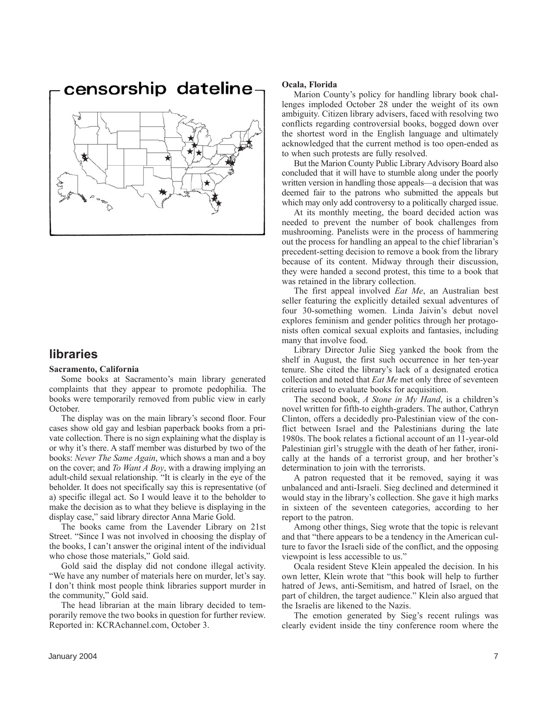

## **libraries**

#### **Sacramento, California**

Some books at Sacramento's main library generated complaints that they appear to promote pedophilia. The books were temporarily removed from public view in early October.

The display was on the main library's second floor. Four cases show old gay and lesbian paperback books from a private collection. There is no sign explaining what the display is or why it's there. A staff member was disturbed by two of the books: *Never The Same Again*, which shows a man and a boy on the cover; and *To Want A Boy*, with a drawing implying an adult-child sexual relationship. "It is clearly in the eye of the beholder. It does not specifically say this is representative (of a) specific illegal act. So I would leave it to the beholder to make the decision as to what they believe is displaying in the display case," said library director Anna Marie Gold.

The books came from the Lavender Library on 21st Street. "Since I was not involved in choosing the display of the books, I can't answer the original intent of the individual who chose those materials," Gold said.

Gold said the display did not condone illegal activity. "We have any number of materials here on murder, let's say. I don't think most people think libraries support murder in the community," Gold said.

The head librarian at the main library decided to temporarily remove the two books in question for further review. Reported in: KCRAchannel.com, October 3.

## **Ocala, Florida**

Marion County's policy for handling library book challenges imploded October 28 under the weight of its own ambiguity. Citizen library advisers, faced with resolving two conflicts regarding controversial books, bogged down over the shortest word in the English language and ultimately acknowledged that the current method is too open-ended as to when such protests are fully resolved.

But the Marion County Public Library Advisory Board also concluded that it will have to stumble along under the poorly written version in handling those appeals—a decision that was deemed fair to the patrons who submitted the appeals but which may only add controversy to a politically charged issue.

At its monthly meeting, the board decided action was needed to prevent the number of book challenges from mushrooming. Panelists were in the process of hammering out the process for handling an appeal to the chief librarian's precedent-setting decision to remove a book from the library because of its content. Midway through their discussion, they were handed a second protest, this time to a book that was retained in the library collection.

The first appeal involved *Eat Me*, an Australian best seller featuring the explicitly detailed sexual adventures of four 30-something women. Linda Jaivin's debut novel explores feminism and gender politics through her protagonists often comical sexual exploits and fantasies, including many that involve food.

Library Director Julie Sieg yanked the book from the shelf in August, the first such occurrence in her ten-year tenure. She cited the library's lack of a designated erotica collection and noted that *Eat Me* met only three of seventeen criteria used to evaluate books for acquisition.

The second book, *A Stone in My Hand*, is a children's novel written for fifth-to eighth-graders. The author, Cathryn Clinton, offers a decidedly pro-Palestinian view of the conflict between Israel and the Palestinians during the late 1980s. The book relates a fictional account of an 11-year-old Palestinian girl's struggle with the death of her father, ironically at the hands of a terrorist group, and her brother's determination to join with the terrorists.

A patron requested that it be removed, saying it was unbalanced and anti-Israeli. Sieg declined and determined it would stay in the library's collection. She gave it high marks in sixteen of the seventeen categories, according to her report to the patron.

Among other things, Sieg wrote that the topic is relevant and that "there appears to be a tendency in the American culture to favor the Israeli side of the conflict, and the opposing viewpoint is less accessible to us."

Ocala resident Steve Klein appealed the decision. In his own letter, Klein wrote that "this book will help to further hatred of Jews, anti-Semitism, and hatred of Israel, on the part of children, the target audience." Klein also argued that the Israelis are likened to the Nazis.

The emotion generated by Sieg's recent rulings was clearly evident inside the tiny conference room where the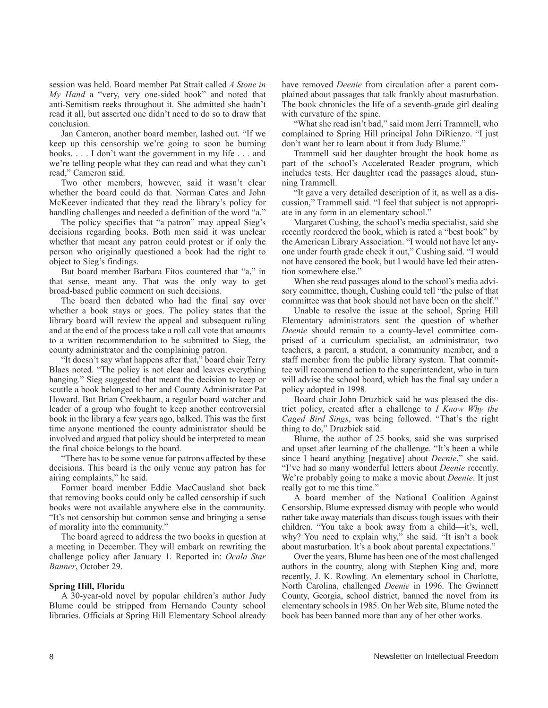session was held. Board member Pat Strait called *A Stone in My Hand* a "very, very one-sided book" and noted that anti-Semitism reeks throughout it. She admitted she hadn't read it all, but asserted one didn't need to do so to draw that conclusion.

Jan Cameron, another board member, lashed out. "If we keep up this censorship we're going to soon be burning books. . . . I don't want the government in my life . . . and we're telling people what they can read and what they can't read," Cameron said.

Two other members, however, said it wasn't clear whether the board could do that. Norman Cates and John McKeever indicated that they read the library's policy for handling challenges and needed a definition of the word "a."

The policy specifies that "a patron" may appeal Sieg's decisions regarding books. Both men said it was unclear whether that meant any patron could protest or if only the person who originally questioned a book had the right to object to Sieg's findings.

But board member Barbara Fitos countered that "a," in that sense, meant any. That was the only way to get broad-based public comment on such decisions.

The board then debated who had the final say over whether a book stays or goes. The policy states that the library board will review the appeal and subsequent ruling and at the end of the process take a roll call vote that amounts to a written recommendation to be submitted to Sieg, the county administrator and the complaining patron.

"It doesn't say what happens after that," board chair Terry Blaes noted. "The policy is not clear and leaves everything hanging." Sieg suggested that meant the decision to keep or scuttle a book belonged to her and County Administrator Pat Howard. But Brian Creekbaum, a regular board watcher and leader of a group who fought to keep another controversial book in the library a few years ago, balked. This was the first time anyone mentioned the county administrator should be involved and argued that policy should be interpreted to mean the final choice belongs to the board.

"There has to be some venue for patrons affected by these decisions. This board is the only venue any patron has for airing complaints," he said.

Former board member Eddie MacCausland shot back that removing books could only be called censorship if such books were not available anywhere else in the community. "It's not censorship but common sense and bringing a sense of morality into the community."

The board agreed to address the two books in question at a meeting in December. They will embark on rewriting the challenge policy after January 1. Reported in: *Ocala Star Banner*, October 29.

#### **Spring Hill, Florida**

A 30-year-old novel by popular children's author Judy Blume could be stripped from Hernando County school libraries. Officials at Spring Hill Elementary School already have removed *Deenie* from circulation after a parent complained about passages that talk frankly about masturbation. The book chronicles the life of a seventh-grade girl dealing with curvature of the spine.

"What she read isn't bad," said mom Jerri Trammell, who complained to Spring Hill principal John DiRienzo. "I just don't want her to learn about it from Judy Blume."

Trammell said her daughter brought the book home as part of the school's Accelerated Reader program, which includes tests. Her daughter read the passages aloud, stunning Trammell.

"It gave a very detailed description of it, as well as a discussion," Trammell said. "I feel that subject is not appropriate in any form in an elementary school."

Margaret Cushing, the school's media specialist, said she recently reordered the book, which is rated a "best book" by the American Library Association. "I would not have let anyone under fourth grade check it out," Cushing said. "I would not have censored the book, but I would have led their attention somewhere else."

When she read passages aloud to the school's media advisory committee, though, Cushing could tell "the pulse of that committee was that book should not have been on the shelf."

Unable to resolve the issue at the school, Spring Hill Elementary administrators sent the question of whether *Deenie* should remain to a county-level committee comprised of a curriculum specialist, an administrator, two teachers, a parent, a student, a community member, and a staff member from the public library system. That committee will recommend action to the superintendent, who in turn will advise the school board, which has the final say under a policy adopted in 1998.

Board chair John Druzbick said he was pleased the district policy, created after a challenge to *I Know Why the Caged Bird Sings*, was being followed. "That's the right thing to do," Druzbick said.

Blume, the author of 25 books, said she was surprised and upset after learning of the challenge. "It's been a while since I heard anything [negative] about *Deenie*," she said. "I've had so many wonderful letters about *Deenie* recently. We're probably going to make a movie about *Deenie*. It just really got to me this time."

A board member of the National Coalition Against Censorship, Blume expressed dismay with people who would rather take away materials than discuss tough issues with their children. "You take a book away from a child—it's, well, why? You need to explain why," she said. "It isn't a book about masturbation. It's a book about parental expectations."

Over the years, Blume has been one of the most challenged authors in the country, along with Stephen King and, more recently, J. K. Rowling. An elementary school in Charlotte, North Carolina, challenged *Deenie* in 1996. The Gwinnett County, Georgia, school district, banned the novel from its elementary schools in 1985. On her Web site, Blume noted the book has been banned more than any of her other works.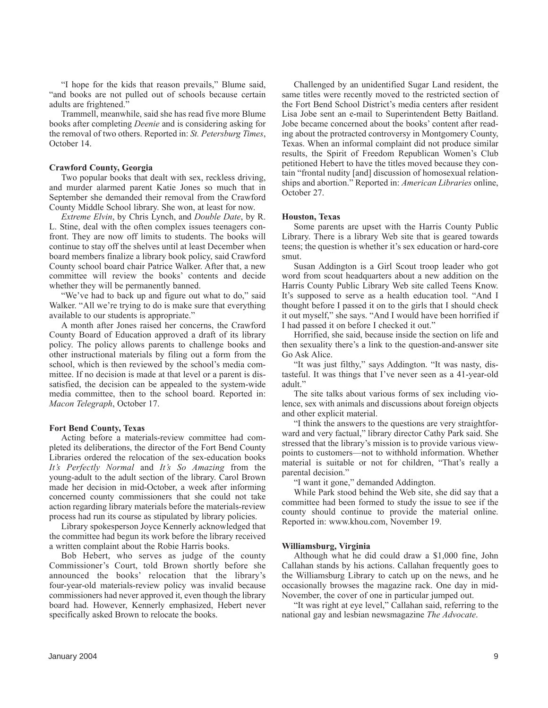"I hope for the kids that reason prevails," Blume said, "and books are not pulled out of schools because certain adults are frightened."

Trammell, meanwhile, said she has read five more Blume books after completing *Deenie* and is considering asking for the removal of two others. Reported in: *St. Petersburg Times*, October 14.

#### **Crawford County, Georgia**

Two popular books that dealt with sex, reckless driving, and murder alarmed parent Katie Jones so much that in September she demanded their removal from the Crawford County Middle School library. She won, at least for now.

*Extreme Elvin*, by Chris Lynch, and *Double Date*, by R. L. Stine, deal with the often complex issues teenagers confront. They are now off limits to students. The books will continue to stay off the shelves until at least December when board members finalize a library book policy, said Crawford County school board chair Patrice Walker. After that, a new committee will review the books' contents and decide whether they will be permanently banned.

"We've had to back up and figure out what to do," said Walker. "All we're trying to do is make sure that everything available to our students is appropriate."

A month after Jones raised her concerns, the Crawford County Board of Education approved a draft of its library policy. The policy allows parents to challenge books and other instructional materials by filing out a form from the school, which is then reviewed by the school's media committee. If no decision is made at that level or a parent is dissatisfied, the decision can be appealed to the system-wide media committee, then to the school board. Reported in: *Macon Telegraph*, October 17.

## **Fort Bend County, Texas**

Acting before a materials-review committee had completed its deliberations, the director of the Fort Bend County Libraries ordered the relocation of the sex-education books *It's Perfectly Normal* and *It's So Amazing* from the young-adult to the adult section of the library. Carol Brown made her decision in mid-October, a week after informing concerned county commissioners that she could not take action regarding library materials before the materials-review process had run its course as stipulated by library policies.

Library spokesperson Joyce Kennerly acknowledged that the committee had begun its work before the library received a written complaint about the Robie Harris books.

Bob Hebert, who serves as judge of the county Commissioner's Court, told Brown shortly before she announced the books' relocation that the library's four-year-old materials-review policy was invalid because commissioners had never approved it, even though the library board had. However, Kennerly emphasized, Hebert never specifically asked Brown to relocate the books.

Challenged by an unidentified Sugar Land resident, the same titles were recently moved to the restricted section of the Fort Bend School District's media centers after resident Lisa Jobe sent an e-mail to Superintendent Betty Baitland. Jobe became concerned about the books' content after reading about the protracted controversy in Montgomery County, Texas. When an informal complaint did not produce similar results, the Spirit of Freedom Republican Women's Club petitioned Hebert to have the titles moved because they contain "frontal nudity [and] discussion of homosexual relationships and abortion." Reported in: *American Libraries* online, October 27.

### **Houston, Texas**

Some parents are upset with the Harris County Public Library. There is a library Web site that is geared towards teens; the question is whether it's sex education or hard-core smut.

Susan Addington is a Girl Scout troop leader who got word from scout headquarters about a new addition on the Harris County Public Library Web site called Teens Know. It's supposed to serve as a health education tool. "And I thought before I passed it on to the girls that I should check it out myself," she says. "And I would have been horrified if I had passed it on before I checked it out."

Horrified, she said, because inside the section on life and then sexuality there's a link to the question-and-answer site Go Ask Alice.

"It was just filthy," says Addington. "It was nasty, distasteful. It was things that I've never seen as a 41-year-old adult."

The site talks about various forms of sex including violence, sex with animals and discussions about foreign objects and other explicit material.

"I think the answers to the questions are very straightforward and very factual," library director Cathy Park said. She stressed that the library's mission is to provide various viewpoints to customers—not to withhold information. Whether material is suitable or not for children, "That's really a parental decision."

"I want it gone," demanded Addington.

While Park stood behind the Web site, she did say that a committee had been formed to study the issue to see if the county should continue to provide the material online. Reported in: www.khou.com, November 19.

## **Williamsburg, Virginia**

Although what he did could draw a \$1,000 fine, John Callahan stands by his actions. Callahan frequently goes to the Williamsburg Library to catch up on the news, and he occasionally browses the magazine rack. One day in mid-November, the cover of one in particular jumped out.

"It was right at eye level," Callahan said, referring to the national gay and lesbian newsmagazine *The Advocate*.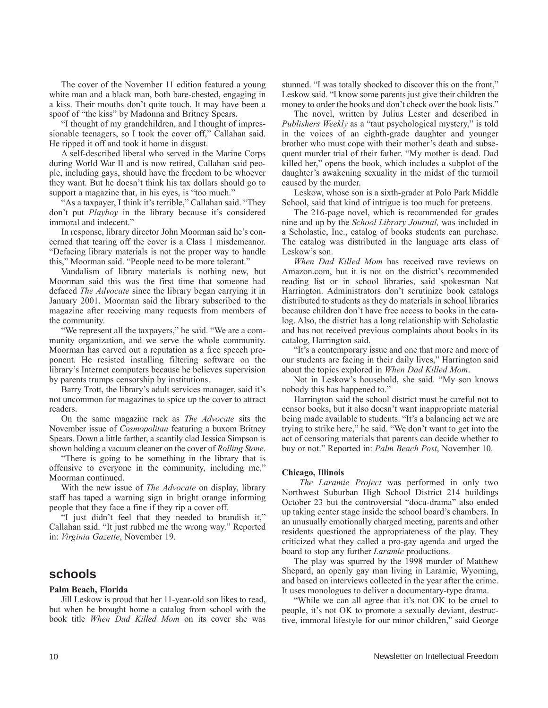The cover of the November 11 edition featured a young white man and a black man, both bare-chested, engaging in a kiss. Their mouths don't quite touch. It may have been a spoof of "the kiss" by Madonna and Britney Spears.

"I thought of my grandchildren, and I thought of impressionable teenagers, so I took the cover off," Callahan said. He ripped it off and took it home in disgust.

A self-described liberal who served in the Marine Corps during World War II and is now retired, Callahan said people, including gays, should have the freedom to be whoever they want. But he doesn't think his tax dollars should go to support a magazine that, in his eyes, is "too much."

"As a taxpayer, I think it's terrible," Callahan said. "They don't put *Playboy* in the library because it's considered immoral and indecent."

In response, library director John Moorman said he's concerned that tearing off the cover is a Class 1 misdemeanor. "Defacing library materials is not the proper way to handle this," Moorman said. "People need to be more tolerant."

Vandalism of library materials is nothing new, but Moorman said this was the first time that someone had defaced *The Advocate* since the library began carrying it in January 2001. Moorman said the library subscribed to the magazine after receiving many requests from members of the community.

"We represent all the taxpayers," he said. "We are a community organization, and we serve the whole community. Moorman has carved out a reputation as a free speech proponent. He resisted installing filtering software on the library's Internet computers because he believes supervision by parents trumps censorship by institutions.

Barry Trott, the library's adult services manager, said it's not uncommon for magazines to spice up the cover to attract readers.

On the same magazine rack as *The Advocate* sits the November issue of *Cosmopolitan* featuring a buxom Britney Spears. Down a little farther, a scantily clad Jessica Simpson is shown holding a vacuum cleaner on the cover of *Rolling Stone*.

"There is going to be something in the library that is offensive to everyone in the community, including me," Moorman continued.

With the new issue of *The Advocate* on display, library staff has taped a warning sign in bright orange informing people that they face a fine if they rip a cover off.

"I just didn't feel that they needed to brandish it," Callahan said. "It just rubbed me the wrong way." Reported in: *Virginia Gazette*, November 19.

## **schools**

## **Palm Beach, Florida**

Jill Leskow is proud that her 11-year-old son likes to read, but when he brought home a catalog from school with the book title *When Dad Killed Mom* on its cover she was stunned. "I was totally shocked to discover this on the front," Leskow said. "I know some parents just give their children the money to order the books and don't check over the book lists."

The novel, written by Julius Lester and described in *Publishers Weekly* as a "taut psychological mystery," is told in the voices of an eighth-grade daughter and younger brother who must cope with their mother's death and subsequent murder trial of their father. "My mother is dead. Dad killed her," opens the book, which includes a subplot of the daughter's awakening sexuality in the midst of the turmoil caused by the murder.

Leskow, whose son is a sixth-grader at Polo Park Middle School, said that kind of intrigue is too much for preteens.

The 216-page novel, which is recommended for grades nine and up by the *School Library Journal,* was included in a Scholastic, Inc., catalog of books students can purchase. The catalog was distributed in the language arts class of Leskow's son.

*When Dad Killed Mom* has received rave reviews on Amazon.com, but it is not on the district's recommended reading list or in school libraries, said spokesman Nat Harrington. Administrators don't scrutinize book catalogs distributed to students as they do materials in school libraries because children don't have free access to books in the catalog. Also, the district has a long relationship with Scholastic and has not received previous complaints about books in its catalog, Harrington said.

"It's a contemporary issue and one that more and more of our students are facing in their daily lives," Harrington said about the topics explored in *When Dad Killed Mom*.

Not in Leskow's household, she said. "My son knows nobody this has happened to."

Harrington said the school district must be careful not to censor books, but it also doesn't want inappropriate material being made available to students. "It's a balancing act we are trying to strike here," he said. "We don't want to get into the act of censoring materials that parents can decide whether to buy or not." Reported in: *Palm Beach Post*, November 10.

## **Chicago, Illinois**

*The Laramie Project* was performed in only two Northwest Suburban High School District 214 buildings October 23 but the controversial "docu-drama" also ended up taking center stage inside the school board's chambers. In an unusually emotionally charged meeting, parents and other residents questioned the appropriateness of the play. They criticized what they called a pro-gay agenda and urged the board to stop any further *Laramie* productions.

The play was spurred by the 1998 murder of Matthew Shepard, an openly gay man living in Laramie, Wyoming, and based on interviews collected in the year after the crime. It uses monologues to deliver a documentary-type drama.

"While we can all agree that it's not OK to be cruel to people, it's not OK to promote a sexually deviant, destructive, immoral lifestyle for our minor children," said George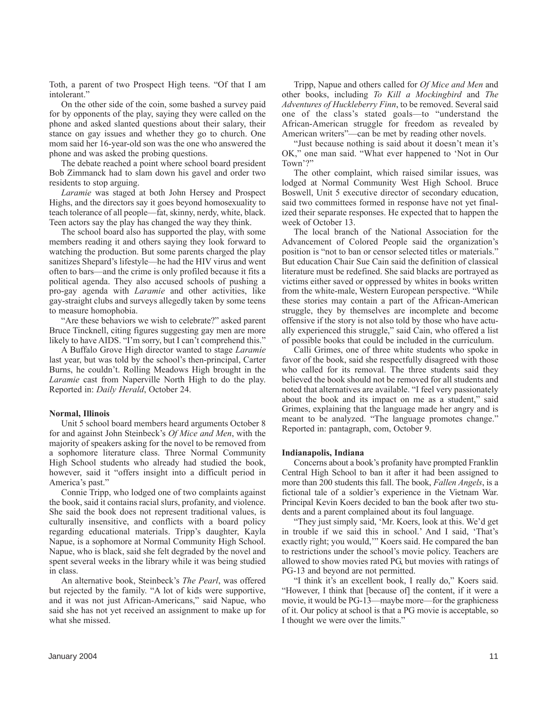Toth, a parent of two Prospect High teens. "Of that I am intolerant.'

On the other side of the coin, some bashed a survey paid for by opponents of the play, saying they were called on the phone and asked slanted questions about their salary, their stance on gay issues and whether they go to church. One mom said her 16-year-old son was the one who answered the phone and was asked the probing questions.

The debate reached a point where school board president Bob Zimmanck had to slam down his gavel and order two residents to stop arguing.

*Laramie* was staged at both John Hersey and Prospect Highs, and the directors say it goes beyond homosexuality to teach tolerance of all people—fat, skinny, nerdy, white, black. Teen actors say the play has changed the way they think.

The school board also has supported the play, with some members reading it and others saying they look forward to watching the production. But some parents charged the play sanitizes Shepard's lifestyle—he had the HIV virus and went often to bars—and the crime is only profiled because it fits a political agenda. They also accused schools of pushing a pro-gay agenda with *Laramie* and other activities, like gay-straight clubs and surveys allegedly taken by some teens to measure homophobia.

"Are these behaviors we wish to celebrate?" asked parent Bruce Tincknell, citing figures suggesting gay men are more likely to have AIDS. "I'm sorry, but I can't comprehend this."

A Buffalo Grove High director wanted to stage *Laramie* last year, but was told by the school's then-principal, Carter Burns, he couldn't. Rolling Meadows High brought in the *Laramie* cast from Naperville North High to do the play. Reported in: *Daily Herald*, October 24.

#### **Normal, Illinois**

Unit 5 school board members heard arguments October 8 for and against John Steinbeck's *Of Mice and Men*, with the majority of speakers asking for the novel to be removed from a sophomore literature class. Three Normal Community High School students who already had studied the book, however, said it "offers insight into a difficult period in America's past."

Connie Tripp, who lodged one of two complaints against the book, said it contains racial slurs, profanity, and violence. She said the book does not represent traditional values, is culturally insensitive, and conflicts with a board policy regarding educational materials. Tripp's daughter, Kayla Napue, is a sophomore at Normal Community High School. Napue, who is black, said she felt degraded by the novel and spent several weeks in the library while it was being studied in class.

An alternative book, Steinbeck's *The Pearl*, was offered but rejected by the family. "A lot of kids were supportive, and it was not just African-Americans," said Napue, who said she has not yet received an assignment to make up for what she missed.

Tripp, Napue and others called for *Of Mice and Men* and other books, including *To Kill a Mockingbird* and *The Adventures of Huckleberry Finn*, to be removed. Several said one of the class's stated goals—to "understand the African-American struggle for freedom as revealed by American writers"—can be met by reading other novels.

"Just because nothing is said about it doesn't mean it's OK," one man said. "What ever happened to 'Not in Our Town'?"

The other complaint, which raised similar issues, was lodged at Normal Community West High School. Bruce Boswell, Unit 5 executive director of secondary education, said two committees formed in response have not yet finalized their separate responses. He expected that to happen the week of October 13.

The local branch of the National Association for the Advancement of Colored People said the organization's position is "not to ban or censor selected titles or materials." But education Chair Sue Cain said the definition of classical literature must be redefined. She said blacks are portrayed as victims either saved or oppressed by whites in books written from the white-male, Western European perspective. "While these stories may contain a part of the African-American struggle, they by themselves are incomplete and become offensive if the story is not also told by those who have actually experienced this struggle," said Cain, who offered a list of possible books that could be included in the curriculum.

Calli Grimes, one of three white students who spoke in favor of the book, said she respectfully disagreed with those who called for its removal. The three students said they believed the book should not be removed for all students and noted that alternatives are available. "I feel very passionately about the book and its impact on me as a student," said Grimes, explaining that the language made her angry and is meant to be analyzed. "The language promotes change." Reported in: pantagraph, com, October 9.

#### **Indianapolis, Indiana**

Concerns about a book's profanity have prompted Franklin Central High School to ban it after it had been assigned to more than 200 students this fall. The book, *Fallen Angels*, is a fictional tale of a soldier's experience in the Vietnam War. Principal Kevin Koers decided to ban the book after two students and a parent complained about its foul language.

"They just simply said, 'Mr. Koers, look at this. We'd get in trouble if we said this in school.' And I said, 'That's exactly right; you would,'" Koers said. He compared the ban to restrictions under the school's movie policy. Teachers are allowed to show movies rated PG, but movies with ratings of PG-13 and beyond are not permitted.

"I think it's an excellent book, I really do," Koers said. "However, I think that [because of] the content, if it were a movie, it would be PG-13—maybe more—for the graphicness of it. Our policy at school is that a PG movie is acceptable, so I thought we were over the limits."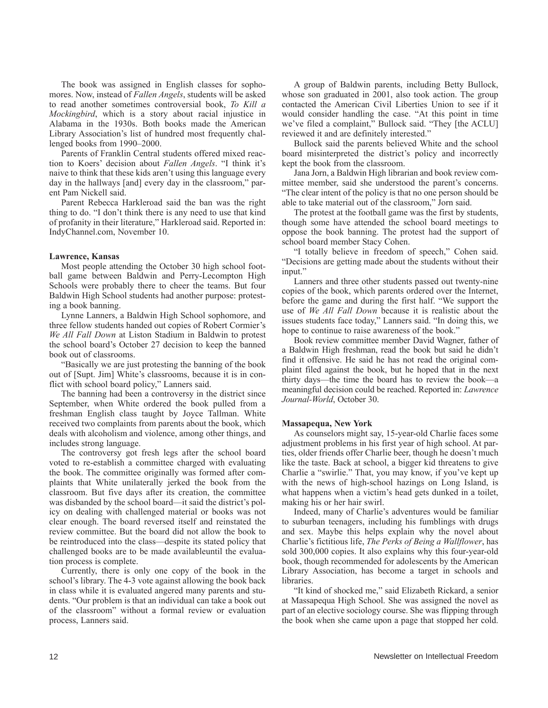The book was assigned in English classes for sophomores. Now, instead of *Fallen Angels*, students will be asked to read another sometimes controversial book, *To Kill a Mockingbird*, which is a story about racial injustice in Alabama in the 1930s. Both books made the American Library Association's list of hundred most frequently challenged books from 1990–2000.

Parents of Franklin Central students offered mixed reaction to Koers' decision about *Fallen Angels*. "I think it's naive to think that these kids aren't using this language every day in the hallways [and] every day in the classroom," parent Pam Nickell said.

Parent Rebecca Harkleroad said the ban was the right thing to do. "I don't think there is any need to use that kind of profanity in their literature," Harkleroad said. Reported in: IndyChannel.com, November 10.

#### **Lawrence, Kansas**

Most people attending the October 30 high school football game between Baldwin and Perry-Lecompton High Schools were probably there to cheer the teams. But four Baldwin High School students had another purpose: protesting a book banning.

Lynne Lanners, a Baldwin High School sophomore, and three fellow students handed out copies of Robert Cormier's *We All Fall Down* at Liston Stadium in Baldwin to protest the school board's October 27 decision to keep the banned book out of classrooms.

"Basically we are just protesting the banning of the book out of [Supt. Jim] White's classrooms, because it is in conflict with school board policy," Lanners said.

The banning had been a controversy in the district since September, when White ordered the book pulled from a freshman English class taught by Joyce Tallman. White received two complaints from parents about the book, which deals with alcoholism and violence, among other things, and includes strong language.

The controversy got fresh legs after the school board voted to re-establish a committee charged with evaluating the book. The committee originally was formed after complaints that White unilaterally jerked the book from the classroom. But five days after its creation, the committee was disbanded by the school board—it said the district's policy on dealing with challenged material or books was not clear enough. The board reversed itself and reinstated the review committee. But the board did not allow the book to be reintroduced into the class—despite its stated policy that challenged books are to be made availableuntil the evaluation process is complete.

Currently, there is only one copy of the book in the school's library. The 4-3 vote against allowing the book back in class while it is evaluated angered many parents and students. "Our problem is that an individual can take a book out of the classroom" without a formal review or evaluation process, Lanners said.

A group of Baldwin parents, including Betty Bullock, whose son graduated in 2001, also took action. The group contacted the American Civil Liberties Union to see if it would consider handling the case. "At this point in time we've filed a complaint," Bullock said. "They [the ACLU] reviewed it and are definitely interested."

Bullock said the parents believed White and the school board misinterpreted the district's policy and incorrectly kept the book from the classroom.

Jana Jorn, a Baldwin High librarian and book review committee member, said she understood the parent's concerns. "The clear intent of the policy is that no one person should be able to take material out of the classroom," Jorn said.

The protest at the football game was the first by students, though some have attended the school board meetings to oppose the book banning. The protest had the support of school board member Stacy Cohen.

"I totally believe in freedom of speech," Cohen said. "Decisions are getting made about the students without their input."

Lanners and three other students passed out twenty-nine copies of the book, which parents ordered over the Internet, before the game and during the first half. "We support the use of *We All Fall Down* because it is realistic about the issues students face today," Lanners said. "In doing this, we hope to continue to raise awareness of the book."

Book review committee member David Wagner, father of a Baldwin High freshman, read the book but said he didn't find it offensive. He said he has not read the original complaint filed against the book, but he hoped that in the next thirty days—the time the board has to review the book—a meaningful decision could be reached. Reported in: *Lawrence Journal-World*, October 30.

#### **Massapequa, New York**

As counselors might say, 15-year-old Charlie faces some adjustment problems in his first year of high school. At parties, older friends offer Charlie beer, though he doesn't much like the taste. Back at school, a bigger kid threatens to give Charlie a "swirlie." That, you may know, if you've kept up with the news of high-school hazings on Long Island, is what happens when a victim's head gets dunked in a toilet, making his or her hair swirl.

Indeed, many of Charlie's adventures would be familiar to suburban teenagers, including his fumblings with drugs and sex. Maybe this helps explain why the novel about Charlie's fictitious life, *The Perks of Being a Wallflower*, has sold 300,000 copies. It also explains why this four-year-old book, though recommended for adolescents by the American Library Association, has become a target in schools and libraries.

"It kind of shocked me," said Elizabeth Rickard, a senior at Massapequa High School. She was assigned the novel as part of an elective sociology course. She was flipping through the book when she came upon a page that stopped her cold.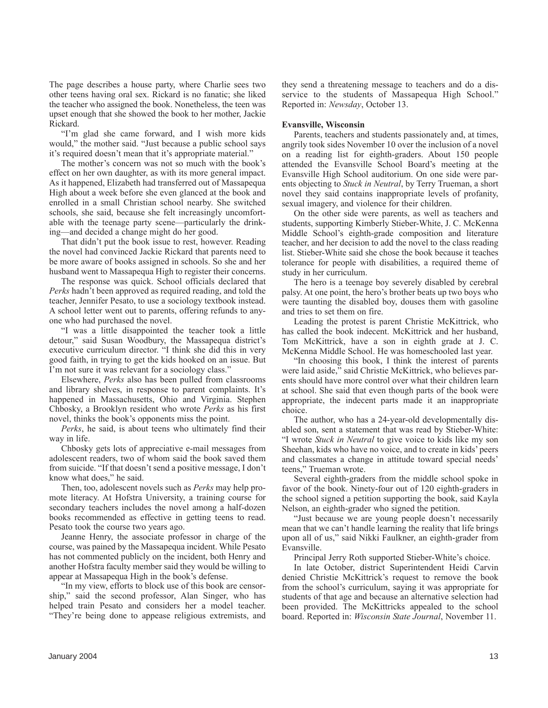The page describes a house party, where Charlie sees two other teens having oral sex. Rickard is no fanatic; she liked the teacher who assigned the book. Nonetheless, the teen was upset enough that she showed the book to her mother, Jackie Rickard.

"I'm glad she came forward, and I wish more kids would," the mother said. "Just because a public school says it's required doesn't mean that it's appropriate material."

The mother's concern was not so much with the book's effect on her own daughter, as with its more general impact. As it happened, Elizabeth had transferred out of Massapequa High about a week before she even glanced at the book and enrolled in a small Christian school nearby. She switched schools, she said, because she felt increasingly uncomfortable with the teenage party scene—particularly the drinking—and decided a change might do her good.

That didn't put the book issue to rest, however. Reading the novel had convinced Jackie Rickard that parents need to be more aware of books assigned in schools. So she and her husband went to Massapequa High to register their concerns.

The response was quick. School officials declared that *Perks* hadn't been approved as required reading, and told the teacher, Jennifer Pesato, to use a sociology textbook instead. A school letter went out to parents, offering refunds to anyone who had purchased the novel.

"I was a little disappointed the teacher took a little detour," said Susan Woodbury, the Massapequa district's executive curriculum director. "I think she did this in very good faith, in trying to get the kids hooked on an issue. But I'm not sure it was relevant for a sociology class."

Elsewhere, *Perks* also has been pulled from classrooms and library shelves, in response to parent complaints. It's happened in Massachusetts, Ohio and Virginia. Stephen Chbosky, a Brooklyn resident who wrote *Perks* as his first novel, thinks the book's opponents miss the point.

*Perks*, he said, is about teens who ultimately find their way in life.

Chbosky gets lots of appreciative e-mail messages from adolescent readers, two of whom said the book saved them from suicide. "If that doesn't send a positive message, I don't know what does," he said.

Then, too, adolescent novels such as *Perks* may help promote literacy. At Hofstra University, a training course for secondary teachers includes the novel among a half-dozen books recommended as effective in getting teens to read. Pesato took the course two years ago.

Jeanne Henry, the associate professor in charge of the course, was pained by the Massapequa incident. While Pesato has not commented publicly on the incident, both Henry and another Hofstra faculty member said they would be willing to appear at Massapequa High in the book's defense.

"In my view, efforts to block use of this book are censorship," said the second professor, Alan Singer, who has helped train Pesato and considers her a model teacher. "They're being done to appease religious extremists, and they send a threatening message to teachers and do a disservice to the students of Massapequa High School." Reported in: *Newsday*, October 13.

#### **Evansville, Wisconsin**

Parents, teachers and students passionately and, at times, angrily took sides November 10 over the inclusion of a novel on a reading list for eighth-graders. About 150 people attended the Evansville School Board's meeting at the Evansville High School auditorium. On one side were parents objecting to *Stuck in Neutral*, by Terry Trueman, a short novel they said contains inappropriate levels of profanity, sexual imagery, and violence for their children.

On the other side were parents, as well as teachers and students, supporting Kimberly Stieber-White, J. C. McKenna Middle School's eighth-grade composition and literature teacher, and her decision to add the novel to the class reading list. Stieber-White said she chose the book because it teaches tolerance for people with disabilities, a required theme of study in her curriculum.

The hero is a teenage boy severely disabled by cerebral palsy. At one point, the hero's brother beats up two boys who were taunting the disabled boy, douses them with gasoline and tries to set them on fire.

Leading the protest is parent Christie McKittrick, who has called the book indecent. McKittrick and her husband, Tom McKittrick, have a son in eighth grade at J. C. McKenna Middle School. He was homeschooled last year.

"In choosing this book, I think the interest of parents were laid aside," said Christie McKittrick, who believes parents should have more control over what their children learn at school. She said that even though parts of the book were appropriate, the indecent parts made it an inappropriate choice.

The author, who has a 24-year-old developmentally disabled son, sent a statement that was read by Stieber-White: "I wrote *Stuck in Neutral* to give voice to kids like my son Sheehan, kids who have no voice, and to create in kids' peers and classmates a change in attitude toward special needs' teens," Trueman wrote.

Several eighth-graders from the middle school spoke in favor of the book. Ninety-four out of 120 eighth-graders in the school signed a petition supporting the book, said Kayla Nelson, an eighth-grader who signed the petition.

"Just because we are young people doesn't necessarily mean that we can't handle learning the reality that life brings upon all of us," said Nikki Faulkner, an eighth-grader from Evansville.

Principal Jerry Roth supported Stieber-White's choice.

In late October, district Superintendent Heidi Carvin denied Christie McKittrick's request to remove the book from the school's curriculum, saying it was appropriate for students of that age and because an alternative selection had been provided. The McKittricks appealed to the school board. Reported in: *Wisconsin State Journal*, November 11.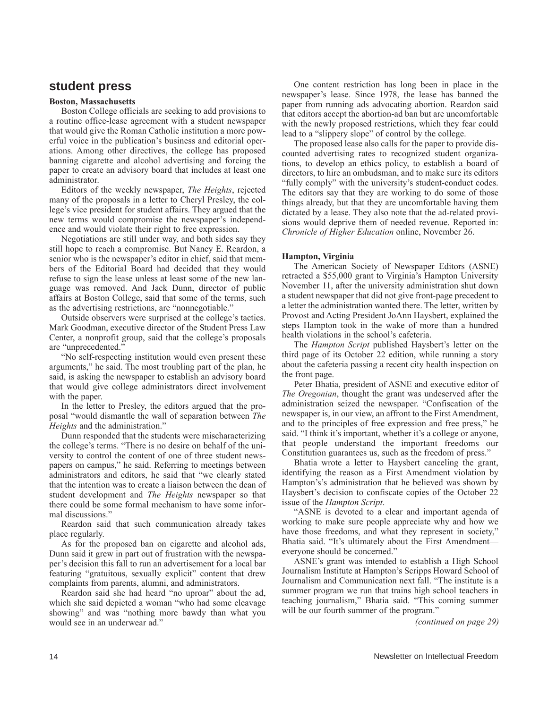## **student press**

## **Boston, Massachusetts**

Boston College officials are seeking to add provisions to a routine office-lease agreement with a student newspaper that would give the Roman Catholic institution a more powerful voice in the publication's business and editorial operations. Among other directives, the college has proposed banning cigarette and alcohol advertising and forcing the paper to create an advisory board that includes at least one administrator.

Editors of the weekly newspaper, *The Heights*, rejected many of the proposals in a letter to Cheryl Presley, the college's vice president for student affairs. They argued that the new terms would compromise the newspaper's independence and would violate their right to free expression.

Negotiations are still under way, and both sides say they still hope to reach a compromise. But Nancy E. Reardon, a senior who is the newspaper's editor in chief, said that members of the Editorial Board had decided that they would refuse to sign the lease unless at least some of the new language was removed. And Jack Dunn, director of public affairs at Boston College, said that some of the terms, such as the advertising restrictions, are "nonnegotiable."

Outside observers were surprised at the college's tactics. Mark Goodman, executive director of the Student Press Law Center, a nonprofit group, said that the college's proposals are "unprecedented."

"No self-respecting institution would even present these arguments," he said. The most troubling part of the plan, he said, is asking the newspaper to establish an advisory board that would give college administrators direct involvement with the paper.

In the letter to Presley, the editors argued that the proposal "would dismantle the wall of separation between *The Heights* and the administration."

Dunn responded that the students were mischaracterizing the college's terms. "There is no desire on behalf of the university to control the content of one of three student newspapers on campus," he said. Referring to meetings between administrators and editors, he said that "we clearly stated that the intention was to create a liaison between the dean of student development and *The Heights* newspaper so that there could be some formal mechanism to have some informal discussions."

Reardon said that such communication already takes place regularly.

As for the proposed ban on cigarette and alcohol ads, Dunn said it grew in part out of frustration with the newspaper's decision this fall to run an advertisement for a local bar featuring "gratuitous, sexually explicit" content that drew complaints from parents, alumni, and administrators.

Reardon said she had heard "no uproar" about the ad, which she said depicted a woman "who had some cleavage showing" and was "nothing more bawdy than what you would see in an underwear ad."

One content restriction has long been in place in the newspaper's lease. Since 1978, the lease has banned the paper from running ads advocating abortion. Reardon said that editors accept the abortion-ad ban but are uncomfortable with the newly proposed restrictions, which they fear could lead to a "slippery slope" of control by the college.

The proposed lease also calls for the paper to provide discounted advertising rates to recognized student organizations, to develop an ethics policy, to establish a board of directors, to hire an ombudsman, and to make sure its editors "fully comply" with the university's student-conduct codes. The editors say that they are working to do some of those things already, but that they are uncomfortable having them dictated by a lease. They also note that the ad-related provisions would deprive them of needed revenue. Reported in: *Chronicle of Higher Education* online, November 26.

## **Hampton, Virginia**

The American Society of Newspaper Editors (ASNE) retracted a \$55,000 grant to Virginia's Hampton University November 11, after the university administration shut down a student newspaper that did not give front-page precedent to a letter the administration wanted there. The letter, written by Provost and Acting President JoAnn Haysbert, explained the steps Hampton took in the wake of more than a hundred health violations in the school's cafeteria.

The *Hampton Script* published Haysbert's letter on the third page of its October 22 edition, while running a story about the cafeteria passing a recent city health inspection on the front page.

Peter Bhatia, president of ASNE and executive editor of *The Oregonian*, thought the grant was undeserved after the administration seized the newspaper. "Confiscation of the newspaper is, in our view, an affront to the First Amendment, and to the principles of free expression and free press," he said. "I think it's important, whether it's a college or anyone, that people understand the important freedoms our Constitution guarantees us, such as the freedom of press."

Bhatia wrote a letter to Haysbert canceling the grant, identifying the reason as a First Amendment violation by Hampton's's administration that he believed was shown by Haysbert's decision to confiscate copies of the October 22 issue of the *Hampton Script*.

"ASNE is devoted to a clear and important agenda of working to make sure people appreciate why and how we have those freedoms, and what they represent in society," Bhatia said. "It's ultimately about the First Amendment everyone should be concerned."

ASNE's grant was intended to establish a High School Journalism Institute at Hampton's Scripps Howard School of Journalism and Communication next fall. "The institute is a summer program we run that trains high school teachers in teaching journalism," Bhatia said. "This coming summer will be our fourth summer of the program."

*(continued on page 29)*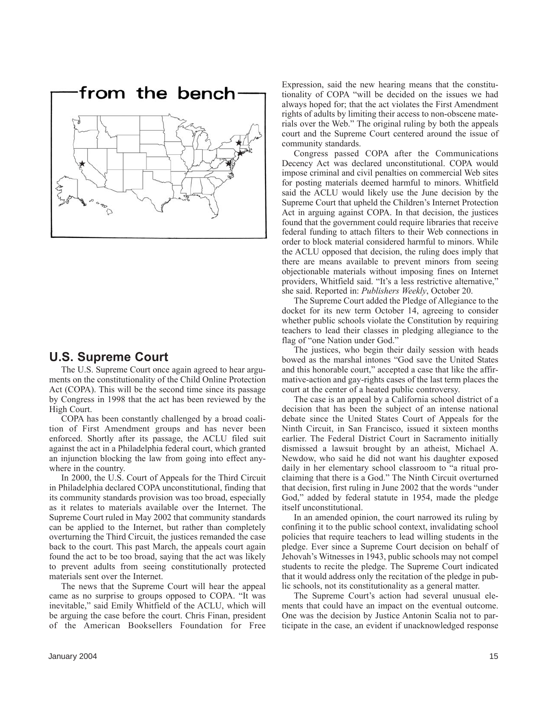

## **U.S. Supreme Court**

The U.S. Supreme Court once again agreed to hear arguments on the constitutionality of the Child Online Protection Act (COPA). This will be the second time since its passage by Congress in 1998 that the act has been reviewed by the High Court.

COPA has been constantly challenged by a broad coalition of First Amendment groups and has never been enforced. Shortly after its passage, the ACLU filed suit against the act in a Philadelphia federal court, which granted an injunction blocking the law from going into effect anywhere in the country.

In 2000, the U.S. Court of Appeals for the Third Circuit in Philadelphia declared COPA unconstitutional, finding that its community standards provision was too broad, especially as it relates to materials available over the Internet. The Supreme Court ruled in May 2002 that community standards can be applied to the Internet, but rather than completely overturning the Third Circuit, the justices remanded the case back to the court. This past March, the appeals court again found the act to be too broad, saying that the act was likely to prevent adults from seeing constitutionally protected materials sent over the Internet.

The news that the Supreme Court will hear the appeal came as no surprise to groups opposed to COPA. "It was inevitable," said Emily Whitfield of the ACLU, which will be arguing the case before the court. Chris Finan, president of the American Booksellers Foundation for Free Expression, said the new hearing means that the constitutionality of COPA "will be decided on the issues we had always hoped for; that the act violates the First Amendment rights of adults by limiting their access to non-obscene materials over the Web." The original ruling by both the appeals court and the Supreme Court centered around the issue of community standards.

Congress passed COPA after the Communications Decency Act was declared unconstitutional. COPA would impose criminal and civil penalties on commercial Web sites for posting materials deemed harmful to minors. Whitfield said the ACLU would likely use the June decision by the Supreme Court that upheld the Children's Internet Protection Act in arguing against COPA. In that decision, the justices found that the government could require libraries that receive federal funding to attach filters to their Web connections in order to block material considered harmful to minors. While the ACLU opposed that decision, the ruling does imply that there are means available to prevent minors from seeing objectionable materials without imposing fines on Internet providers, Whitfield said. "It's a less restrictive alternative," she said. Reported in: *Publishers Weekly*, October 20.

The Supreme Court added the Pledge of Allegiance to the docket for its new term October 14, agreeing to consider whether public schools violate the Constitution by requiring teachers to lead their classes in pledging allegiance to the flag of "one Nation under God."

The justices, who begin their daily session with heads bowed as the marshal intones "God save the United States and this honorable court," accepted a case that like the affirmative-action and gay-rights cases of the last term places the court at the center of a heated public controversy.

The case is an appeal by a California school district of a decision that has been the subject of an intense national debate since the United States Court of Appeals for the Ninth Circuit, in San Francisco, issued it sixteen months earlier. The Federal District Court in Sacramento initially dismissed a lawsuit brought by an atheist, Michael A. Newdow, who said he did not want his daughter exposed daily in her elementary school classroom to "a ritual proclaiming that there is a God." The Ninth Circuit overturned that decision, first ruling in June 2002 that the words "under God," added by federal statute in 1954, made the pledge itself unconstitutional.

In an amended opinion, the court narrowed its ruling by confining it to the public school context, invalidating school policies that require teachers to lead willing students in the pledge. Ever since a Supreme Court decision on behalf of Jehovah's Witnesses in 1943, public schools may not compel students to recite the pledge. The Supreme Court indicated that it would address only the recitation of the pledge in public schools, not its constitutionality as a general matter.

The Supreme Court's action had several unusual elements that could have an impact on the eventual outcome. One was the decision by Justice Antonin Scalia not to participate in the case, an evident if unacknowledged response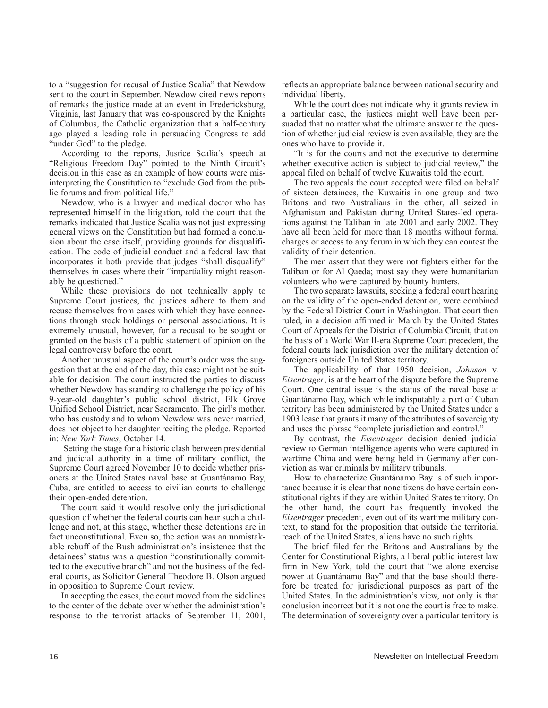to a "suggestion for recusal of Justice Scalia" that Newdow sent to the court in September. Newdow cited news reports of remarks the justice made at an event in Fredericksburg, Virginia, last January that was co-sponsored by the Knights of Columbus, the Catholic organization that a half-century ago played a leading role in persuading Congress to add "under God" to the pledge.

According to the reports, Justice Scalia's speech at "Religious Freedom Day" pointed to the Ninth Circuit's decision in this case as an example of how courts were misinterpreting the Constitution to "exclude God from the public forums and from political life."

Newdow, who is a lawyer and medical doctor who has represented himself in the litigation, told the court that the remarks indicated that Justice Scalia was not just expressing general views on the Constitution but had formed a conclusion about the case itself, providing grounds for disqualification. The code of judicial conduct and a federal law that incorporates it both provide that judges "shall disqualify" themselves in cases where their "impartiality might reasonably be questioned."

While these provisions do not technically apply to Supreme Court justices, the justices adhere to them and recuse themselves from cases with which they have connections through stock holdings or personal associations. It is extremely unusual, however, for a recusal to be sought or granted on the basis of a public statement of opinion on the legal controversy before the court.

Another unusual aspect of the court's order was the suggestion that at the end of the day, this case might not be suitable for decision. The court instructed the parties to discuss whether Newdow has standing to challenge the policy of his 9-year-old daughter's public school district, Elk Grove Unified School District, near Sacramento. The girl's mother, who has custody and to whom Newdow was never married, does not object to her daughter reciting the pledge. Reported in: *New York Times*, October 14.

Setting the stage for a historic clash between presidential and judicial authority in a time of military conflict, the Supreme Court agreed November 10 to decide whether prisoners at the United States naval base at Guantánamo Bay, Cuba, are entitled to access to civilian courts to challenge their open-ended detention.

The court said it would resolve only the jurisdictional question of whether the federal courts can hear such a challenge and not, at this stage, whether these detentions are in fact unconstitutional. Even so, the action was an unmistakable rebuff of the Bush administration's insistence that the detainees' status was a question "constitutionally committed to the executive branch" and not the business of the federal courts, as Solicitor General Theodore B. Olson argued in opposition to Supreme Court review.

In accepting the cases, the court moved from the sidelines to the center of the debate over whether the administration's response to the terrorist attacks of September 11, 2001, reflects an appropriate balance between national security and individual liberty.

While the court does not indicate why it grants review in a particular case, the justices might well have been persuaded that no matter what the ultimate answer to the question of whether judicial review is even available, they are the ones who have to provide it.

"It is for the courts and not the executive to determine whether executive action is subject to judicial review," the appeal filed on behalf of twelve Kuwaitis told the court.

The two appeals the court accepted were filed on behalf of sixteen detainees, the Kuwaitis in one group and two Britons and two Australians in the other, all seized in Afghanistan and Pakistan during United States-led operations against the Taliban in late 2001 and early 2002. They have all been held for more than 18 months without formal charges or access to any forum in which they can contest the validity of their detention.

The men assert that they were not fighters either for the Taliban or for Al Qaeda; most say they were humanitarian volunteers who were captured by bounty hunters.

The two separate lawsuits, seeking a federal court hearing on the validity of the open-ended detention, were combined by the Federal District Court in Washington. That court then ruled, in a decision affirmed in March by the United States Court of Appeals for the District of Columbia Circuit, that on the basis of a World War II-era Supreme Court precedent, the federal courts lack jurisdiction over the military detention of foreigners outside United States territory.

The applicability of that 1950 decision, *Johnson* v. *Eisentrager*, is at the heart of the dispute before the Supreme Court. One central issue is the status of the naval base at Guantánamo Bay, which while indisputably a part of Cuban territory has been administered by the United States under a 1903 lease that grants it many of the attributes of sovereignty and uses the phrase "complete jurisdiction and control."

By contrast, the *Eisentrager* decision denied judicial review to German intelligence agents who were captured in wartime China and were being held in Germany after conviction as war criminals by military tribunals.

How to characterize Guantánamo Bay is of such importance because it is clear that noncitizens do have certain constitutional rights if they are within United States territory. On the other hand, the court has frequently invoked the *Eisentrager* precedent, even out of its wartime military context, to stand for the proposition that outside the territorial reach of the United States, aliens have no such rights.

The brief filed for the Britons and Australians by the Center for Constitutional Rights, a liberal public interest law firm in New York, told the court that "we alone exercise power at Guantánamo Bay" and that the base should therefore be treated for jurisdictional purposes as part of the United States. In the administration's view, not only is that conclusion incorrect but it is not one the court is free to make. The determination of sovereignty over a particular territory is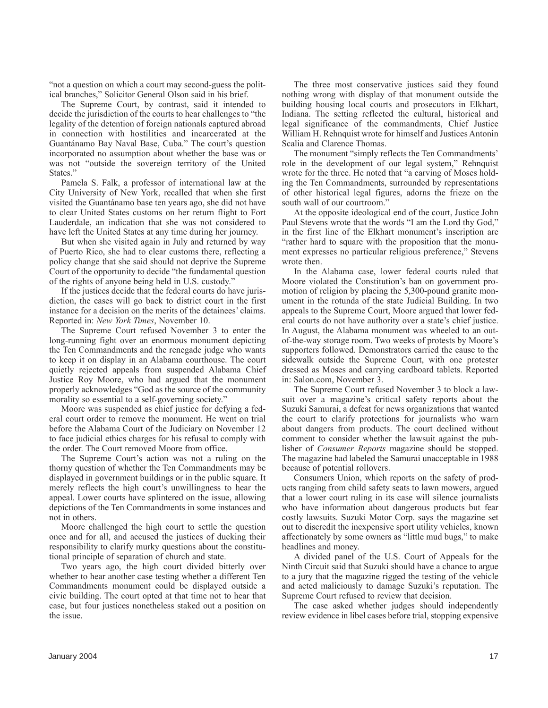"not a question on which a court may second-guess the political branches," Solicitor General Olson said in his brief.

The Supreme Court, by contrast, said it intended to decide the jurisdiction of the courts to hear challenges to "the legality of the detention of foreign nationals captured abroad in connection with hostilities and incarcerated at the Guantánamo Bay Naval Base, Cuba." The court's question incorporated no assumption about whether the base was or was not "outside the sovereign territory of the United States."

Pamela S. Falk, a professor of international law at the City University of New York, recalled that when she first visited the Guantánamo base ten years ago, she did not have to clear United States customs on her return flight to Fort Lauderdale, an indication that she was not considered to have left the United States at any time during her journey.

But when she visited again in July and returned by way of Puerto Rico, she had to clear customs there, reflecting a policy change that she said should not deprive the Supreme Court of the opportunity to decide "the fundamental question of the rights of anyone being held in U.S. custody."

If the justices decide that the federal courts do have jurisdiction, the cases will go back to district court in the first instance for a decision on the merits of the detainees' claims. Reported in: *New York Times*, November 10.

The Supreme Court refused November 3 to enter the long-running fight over an enormous monument depicting the Ten Commandments and the renegade judge who wants to keep it on display in an Alabama courthouse. The court quietly rejected appeals from suspended Alabama Chief Justice Roy Moore, who had argued that the monument properly acknowledges "God as the source of the community morality so essential to a self-governing society."

Moore was suspended as chief justice for defying a federal court order to remove the monument. He went on trial before the Alabama Court of the Judiciary on November 12 to face judicial ethics charges for his refusal to comply with the order. The Court removed Moore from office.

The Supreme Court's action was not a ruling on the thorny question of whether the Ten Commandments may be displayed in government buildings or in the public square. It merely reflects the high court's unwillingness to hear the appeal. Lower courts have splintered on the issue, allowing depictions of the Ten Commandments in some instances and not in others.

Moore challenged the high court to settle the question once and for all, and accused the justices of ducking their responsibility to clarify murky questions about the constitutional principle of separation of church and state.

Two years ago, the high court divided bitterly over whether to hear another case testing whether a different Ten Commandments monument could be displayed outside a civic building. The court opted at that time not to hear that case, but four justices nonetheless staked out a position on the issue.

The three most conservative justices said they found nothing wrong with display of that monument outside the building housing local courts and prosecutors in Elkhart, Indiana. The setting reflected the cultural, historical and legal significance of the commandments, Chief Justice William H. Rehnquist wrote for himself and Justices Antonin Scalia and Clarence Thomas.

The monument "simply reflects the Ten Commandments' role in the development of our legal system," Rehnquist wrote for the three. He noted that "a carving of Moses holding the Ten Commandments, surrounded by representations of other historical legal figures, adorns the frieze on the south wall of our courtroom."

At the opposite ideological end of the court, Justice John Paul Stevens wrote that the words "I am the Lord thy God," in the first line of the Elkhart monument's inscription are "rather hard to square with the proposition that the monument expresses no particular religious preference," Stevens wrote then.

In the Alabama case, lower federal courts ruled that Moore violated the Constitution's ban on government promotion of religion by placing the 5,300-pound granite monument in the rotunda of the state Judicial Building. In two appeals to the Supreme Court, Moore argued that lower federal courts do not have authority over a state's chief justice. In August, the Alabama monument was wheeled to an outof-the-way storage room. Two weeks of protests by Moore's supporters followed. Demonstrators carried the cause to the sidewalk outside the Supreme Court, with one protester dressed as Moses and carrying cardboard tablets. Reported in: Salon.com, November 3.

The Supreme Court refused November 3 to block a lawsuit over a magazine's critical safety reports about the Suzuki Samurai, a defeat for news organizations that wanted the court to clarify protections for journalists who warn about dangers from products. The court declined without comment to consider whether the lawsuit against the publisher of *Consumer Reports* magazine should be stopped. The magazine had labeled the Samurai unacceptable in 1988 because of potential rollovers.

Consumers Union, which reports on the safety of products ranging from child safety seats to lawn mowers, argued that a lower court ruling in its case will silence journalists who have information about dangerous products but fear costly lawsuits. Suzuki Motor Corp. says the magazine set out to discredit the inexpensive sport utility vehicles, known affectionately by some owners as "little mud bugs," to make headlines and money.

A divided panel of the U.S. Court of Appeals for the Ninth Circuit said that Suzuki should have a chance to argue to a jury that the magazine rigged the testing of the vehicle and acted maliciously to damage Suzuki's reputation. The Supreme Court refused to review that decision.

The case asked whether judges should independently review evidence in libel cases before trial, stopping expensive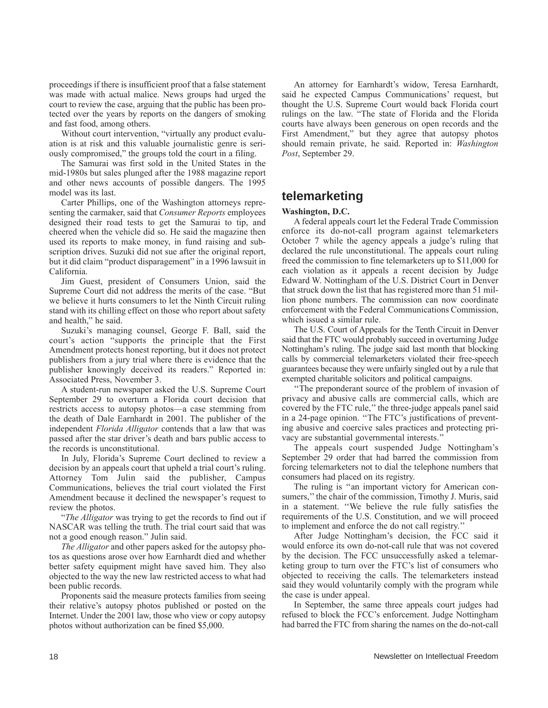proceedings if there is insufficient proof that a false statement was made with actual malice. News groups had urged the court to review the case, arguing that the public has been protected over the years by reports on the dangers of smoking and fast food, among others.

Without court intervention, "virtually any product evaluation is at risk and this valuable journalistic genre is seriously compromised," the groups told the court in a filing.

The Samurai was first sold in the United States in the mid-1980s but sales plunged after the 1988 magazine report and other news accounts of possible dangers. The 1995 model was its last.

Carter Phillips, one of the Washington attorneys representing the carmaker, said that *Consumer Reports* employees designed their road tests to get the Samurai to tip, and cheered when the vehicle did so. He said the magazine then used its reports to make money, in fund raising and subscription drives. Suzuki did not sue after the original report, but it did claim "product disparagement" in a 1996 lawsuit in California.

Jim Guest, president of Consumers Union, said the Supreme Court did not address the merits of the case. "But we believe it hurts consumers to let the Ninth Circuit ruling stand with its chilling effect on those who report about safety and health," he said.

Suzuki's managing counsel, George F. Ball, said the court's action "supports the principle that the First Amendment protects honest reporting, but it does not protect publishers from a jury trial where there is evidence that the publisher knowingly deceived its readers." Reported in: Associated Press, November 3.

A student-run newspaper asked the U.S. Supreme Court September 29 to overturn a Florida court decision that restricts access to autopsy photos—a case stemming from the death of Dale Earnhardt in 2001. The publisher of the independent *Florida Alligator* contends that a law that was passed after the star driver's death and bars public access to the records is unconstitutional.

In July, Florida's Supreme Court declined to review a decision by an appeals court that upheld a trial court's ruling. Attorney Tom Julin said the publisher, Campus Communications, believes the trial court violated the First Amendment because it declined the newspaper's request to review the photos.

"*The Alligator* was trying to get the records to find out if NASCAR was telling the truth. The trial court said that was not a good enough reason." Julin said.

*The Alligator* and other papers asked for the autopsy photos as questions arose over how Earnhardt died and whether better safety equipment might have saved him. They also objected to the way the new law restricted access to what had been public records.

Proponents said the measure protects families from seeing their relative's autopsy photos published or posted on the Internet. Under the 2001 law, those who view or copy autopsy photos without authorization can be fined \$5,000.

An attorney for Earnhardt's widow, Teresa Earnhardt, said he expected Campus Communications' request, but thought the U.S. Supreme Court would back Florida court rulings on the law. "The state of Florida and the Florida courts have always been generous on open records and the First Amendment," but they agree that autopsy photos should remain private, he said. Reported in: *Washington Post*, September 29.

## **telemarketing**

## **Washington, D.C.**

A federal appeals court let the Federal Trade Commission enforce its do-not-call program against telemarketers October 7 while the agency appeals a judge's ruling that declared the rule unconstitutional. The appeals court ruling freed the commission to fine telemarketers up to \$11,000 for each violation as it appeals a recent decision by Judge Edward W. Nottingham of the U.S. District Court in Denver that struck down the list that has registered more than 51 million phone numbers. The commission can now coordinate enforcement with the Federal Communications Commission, which issued a similar rule.

The U.S. Court of Appeals for the Tenth Circuit in Denver said that the FTC would probably succeed in overturning Judge Nottingham's ruling. The judge said last month that blocking calls by commercial telemarketers violated their free-speech guarantees because they were unfairly singled out by a rule that exempted charitable solicitors and political campaigns.

''The preponderant source of the problem of invasion of privacy and abusive calls are commercial calls, which are covered by the FTC rule,'' the three-judge appeals panel said in a 24-page opinion. ''The FTC's justifications of preventing abusive and coercive sales practices and protecting privacy are substantial governmental interests.''

The appeals court suspended Judge Nottingham's September 29 order that had barred the commission from forcing telemarketers not to dial the telephone numbers that consumers had placed on its registry.

The ruling is ''an important victory for American consumers," the chair of the commission, Timothy J. Muris, said in a statement. ''We believe the rule fully satisfies the requirements of the U.S. Constitution, and we will proceed to implement and enforce the do not call registry.''

After Judge Nottingham's decision, the FCC said it would enforce its own do-not-call rule that was not covered by the decision. The FCC unsuccessfully asked a telemarketing group to turn over the FTC's list of consumers who objected to receiving the calls. The telemarketers instead said they would voluntarily comply with the program while the case is under appeal.

In September, the same three appeals court judges had refused to block the FCC's enforcement. Judge Nottingham had barred the FTC from sharing the names on the do-not-call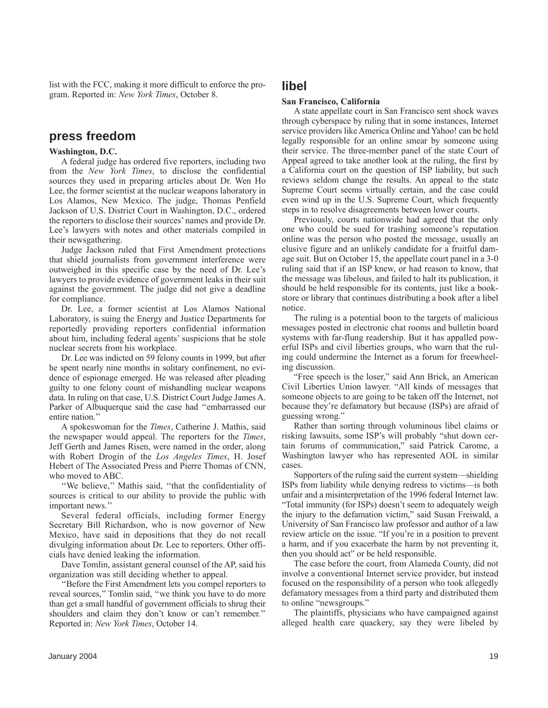list with the FCC, making it more difficult to enforce the program. Reported in: *New York Times*, October 8.

## **press freedom**

## **Washington, D.C.**

A federal judge has ordered five reporters, including two from the *New York Times*, to disclose the confidential sources they used in preparing articles about Dr. Wen Ho Lee, the former scientist at the nuclear weapons laboratory in Los Alamos, New Mexico. The judge, Thomas Penfield Jackson of U.S. District Court in Washington, D.C., ordered the reporters to disclose their sources' names and provide Dr. Lee's lawyers with notes and other materials compiled in their newsgathering.

Judge Jackson ruled that First Amendment protections that shield journalists from government interference were outweighed in this specific case by the need of Dr. Lee's lawyers to provide evidence of government leaks in their suit against the government. The judge did not give a deadline for compliance.

Dr. Lee, a former scientist at Los Alamos National Laboratory, is suing the Energy and Justice Departments for reportedly providing reporters confidential information about him, including federal agents' suspicions that he stole nuclear secrets from his workplace.

Dr. Lee was indicted on 59 felony counts in 1999, but after he spent nearly nine months in solitary confinement, no evidence of espionage emerged. He was released after pleading guilty to one felony count of mishandling nuclear weapons data. In ruling on that case, U.S. District Court Judge James A. Parker of Albuquerque said the case had ''embarrassed our entire nation.''

A spokeswoman for the *Times*, Catherine J. Mathis, said the newspaper would appeal. The reporters for the *Times*, Jeff Gerth and James Risen, were named in the order, along with Robert Drogin of the *Los Angeles Times*, H. Josef Hebert of The Associated Press and Pierre Thomas of CNN, who moved to ABC.

''We believe,'' Mathis said, ''that the confidentiality of sources is critical to our ability to provide the public with important news.''

Several federal officials, including former Energy Secretary Bill Richardson, who is now governor of New Mexico, have said in depositions that they do not recall divulging information about Dr. Lee to reporters. Other officials have denied leaking the information.

Dave Tomlin, assistant general counsel of the AP, said his organization was still deciding whether to appeal.

''Before the First Amendment lets you compel reporters to reveal sources,'' Tomlin said, ''we think you have to do more than get a small handful of government officials to shrug their shoulders and claim they don't know or can't remember.'' Reported in: *New York Times*, October 14.

## **libel**

#### **San Francisco, California**

A state appellate court in San Francisco sent shock waves through cyberspace by ruling that in some instances, Internet service providers like America Online and Yahoo! can be held legally responsible for an online smear by someone using their service. The three-member panel of the state Court of Appeal agreed to take another look at the ruling, the first by a California court on the question of ISP liability, but such reviews seldom change the results. An appeal to the state Supreme Court seems virtually certain, and the case could even wind up in the U.S. Supreme Court, which frequently steps in to resolve disagreements between lower courts.

Previously, courts nationwide had agreed that the only one who could be sued for trashing someone's reputation online was the person who posted the message, usually an elusive figure and an unlikely candidate for a fruitful damage suit. But on October 15, the appellate court panel in a 3-0 ruling said that if an ISP knew, or had reason to know, that the message was libelous, and failed to halt its publication, it should be held responsible for its contents, just like a bookstore or library that continues distributing a book after a libel notice.

The ruling is a potential boon to the targets of malicious messages posted in electronic chat rooms and bulletin board systems with far-flung readership. But it has appalled powerful ISPs and civil liberties groups, who warn that the ruling could undermine the Internet as a forum for freewheeling discussion.

"Free speech is the loser," said Ann Brick, an American Civil Liberties Union lawyer. "All kinds of messages that someone objects to are going to be taken off the Internet, not because they're defamatory but because (ISPs) are afraid of guessing wrong."

Rather than sorting through voluminous libel claims or risking lawsuits, some ISP's will probably "shut down certain forums of communication," said Patrick Carome, a Washington lawyer who has represented AOL in similar cases.

Supporters of the ruling said the current system—shielding ISPs from liability while denying redress to victims—is both unfair and a misinterpretation of the 1996 federal Internet law. "Total immunity (for ISPs) doesn't seem to adequately weigh the injury to the defamation victim," said Susan Freiwald, a University of San Francisco law professor and author of a law review article on the issue. "If you're in a position to prevent a harm, and if you exacerbate the harm by not preventing it, then you should act" or be held responsible.

The case before the court, from Alameda County, did not involve a conventional Internet service provider, but instead focused on the responsibility of a person who took allegedly defamatory messages from a third party and distributed them to online "newsgroups."

The plaintiffs, physicians who have campaigned against alleged health care quackery, say they were libeled by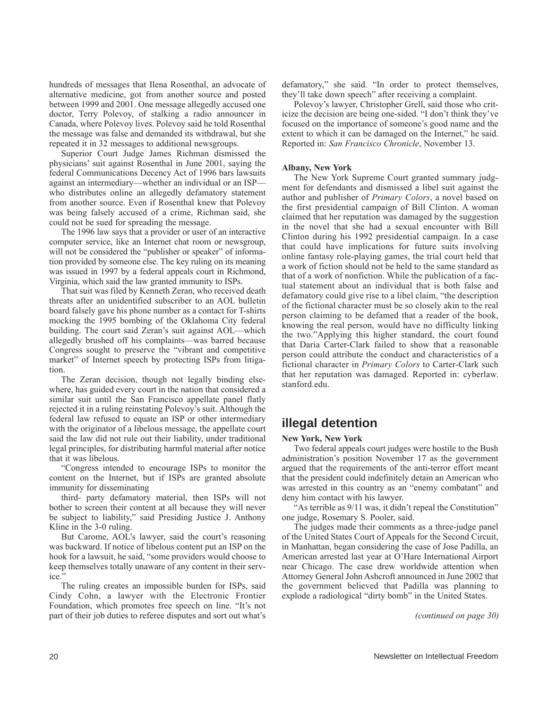hundreds of messages that Ilena Rosenthal, an advocate of alternative medicine, got from another source and posted between 1999 and 2001. One message allegedly accused one doctor, Terry Polevoy, of stalking a radio announcer in Canada, where Polevoy lives. Polevoy said he told Rosenthal the message was false and demanded its withdrawal, but she repeated it in 32 messages to additional newsgroups.

Superior Court Judge James Richman dismissed the physicians' suit against Rosenthal in June 2001, saying the federal Communications Decency Act of 1996 bars lawsuits against an intermediary—whether an individual or an ISP who distributes online an allegedly defamatory statement from another source. Even if Rosenthal knew that Polevoy was being falsely accused of a crime, Richman said, she could not be sued for spreading the message.

The 1996 law says that a provider or user of an interactive computer service, like an Internet chat room or newsgroup, will not be considered the "publisher or speaker" of information provided by someone else. The key ruling on its meaning was issued in 1997 by a federal appeals court in Richmond, Virginia, which said the law granted immunity to ISPs.

That suit was filed by Kenneth Zeran, who received death threats after an unidentified subscriber to an AOL bulletin board falsely gave his phone number as a contact for T-shirts mocking the 1995 bombing of the Oklahoma City federal building. The court said Zeran's suit against AOL—which allegedly brushed off his complaints—was barred because Congress sought to preserve the "vibrant and competitive market" of Internet speech by protecting ISPs from litigation.

The Zeran decision, though not legally binding elsewhere, has guided every court in the nation that considered a similar suit until the San Francisco appellate panel flatly rejected it in a ruling reinstating Polevoy's suit. Although the federal law refused to equate an ISP or other intermediary with the originator of a libelous message, the appellate court said the law did not rule out their liability, under traditional legal principles, for distributing harmful material after notice that it was libelous.

"Congress intended to encourage ISPs to monitor the content on the Internet, but if ISPs are granted absolute immunity for disseminating

third- party defamatory material, then ISPs will not bother to screen their content at all because they will never be subject to liability," said Presiding Justice J. Anthony Kline in the 3-0 ruling.

But Carome, AOL's lawyer, said the court's reasoning was backward. If notice of libelous content put an ISP on the hook for a lawsuit, he said, "some providers would choose to keep themselves totally unaware of any content in their service."

The ruling creates an impossible burden for ISPs, said Cindy Cohn, a lawyer with the Electronic Frontier Foundation, which promotes free speech on line. "It's not part of their job duties to referee disputes and sort out what's defamatory," she said. "In order to protect themselves, they'll take down speech" after receiving a complaint.

Polevoy's lawyer, Christopher Grell, said those who criticize the decision are being one-sided. "I don't think they've focused on the importance of someone's good name and the extent to which it can be damaged on the Internet," he said. Reported in: *San Francisco Chronicle*, November 13.

## **Albany, New York**

The New York Supreme Court granted summary judgment for defendants and dismissed a libel suit against the author and publisher of *Primary Colors*, a novel based on the first presidential campaign of Bill Clinton. A woman claimed that her reputation was damaged by the suggestion in the novel that she had a sexual encounter with Bill Clinton during his 1992 presidential campaign. In a case that could have implications for future suits involving online fantasy role-playing games, the trial court held that a work of fiction should not be held to the same standard as that of a work of nonfiction. While the publication of a factual statement about an individual that is both false and defamatory could give rise to a libel claim, "the description of the fictional character must be so closely akin to the real person claiming to be defamed that a reader of the book, knowing the real person, would have no difficulty linking the two."Applying this higher standard, the court found that Daria Carter-Clark failed to show that a reasonable person could attribute the conduct and characteristics of a fictional character in *Primary Colors* to Carter-Clark such that her reputation was damaged. Reported in: cyberlaw. stanford.edu.

## **illegal detention**

## **New York, New York**

Two federal appeals court judges were hostile to the Bush administration's position November 17 as the government argued that the requirements of the anti-terror effort meant that the president could indefinitely detain an American who was arrested in this country as an "enemy combatant" and deny him contact with his lawyer.

"As terrible as 9/11 was, it didn't repeal the Constitution" one judge, Rosemary S. Pooler, said.

The judges made their comments as a three-judge panel of the United States Court of Appeals for the Second Circuit, in Manhattan, began considering the case of Jose Padilla, an American arrested last year at O'Hare International Airport near Chicago. The case drew worldwide attention when Attorney General John Ashcroft announced in June 2002 that the government believed that Padilla was planning to explode a radiological "dirty bomb" in the United States.

*(continued on page 30)*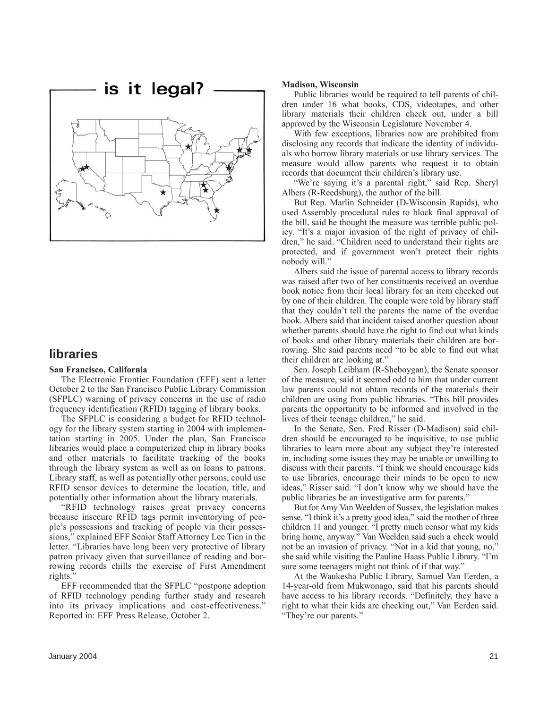

## **libraries**

## **San Francisco, California**

The Electronic Frontier Foundation (EFF) sent a letter October 2 to the San Francisco Public Library Commission (SFPLC) warning of privacy concerns in the use of radio frequency identification (RFID) tagging of library books.

The SFPLC is considering a budget for RFID technology for the library system starting in 2004 with implementation starting in 2005. Under the plan, San Francisco libraries would place a computerized chip in library books and other materials to facilitate tracking of the books through the library system as well as on loans to patrons. Library staff, as well as potentially other persons, could use RFID sensor devices to determine the location, title, and potentially other information about the library materials.

"RFID technology raises great privacy concerns because insecure RFID tags permit inventorying of people's possessions and tracking of people via their possessions," explained EFF Senior Staff Attorney Lee Tien in the letter. "Libraries have long been very protective of library patron privacy given that surveillance of reading and borrowing records chills the exercise of First Amendment rights."

EFF recommended that the SFPLC "postpone adoption of RFID technology pending further study and research into its privacy implications and cost-effectiveness." Reported in: EFF Press Release, October 2.

#### **Madison, Wisconsin**

Public libraries would be required to tell parents of children under 16 what books, CDS, videotapes, and other library materials their children check out, under a bill approved by the Wisconsin Legislature November 4.

With few exceptions, libraries now are prohibited from disclosing any records that indicate the identity of individuals who borrow library materials or use library services. The measure would allow parents who request it to obtain records that document their children's library use.

"We're saying it's a parental right," said Rep. Sheryl Albers (R-Reedsburg), the author of the bill.

But Rep. Marlin Schneider (D-Wisconsin Rapids), who used Assembly procedural rules to block final approval of the bill, said he thought the measure was terrible public policy. "It's a major invasion of the right of privacy of children," he said. "Children need to understand their rights are protected, and if government won't protect their rights nobody will."

Albers said the issue of parental access to library records was raised after two of her constituents received an overdue book notice from their local library for an item checked out by one of their children. The couple were told by library staff that they couldn't tell the parents the name of the overdue book. Albers said that incident raised another question about whether parents should have the right to find out what kinds of books and other library materials their children are borrowing. She said parents need "to be able to find out what their children are looking at."

Sen. Joseph Leibham (R-Sheboygan), the Senate sponsor of the measure, said it seemed odd to him that under current law parents could not obtain records of the materials their children are using from public libraries. "This bill provides parents the opportunity to be informed and involved in the lives of their teenage children," he said.

In the Senate, Sen. Fred Risser (D-Madison) said children should be encouraged to be inquisitive, to use public libraries to learn more about any subject they're interested in, including some issues they may be unable or unwilling to discuss with their parents. "I think we should encourage kids to use libraries, encourage their minds to be open to new ideas," Risser said. "I don't know why we should have the public libraries be an investigative arm for parents."

But for Amy Van Weelden of Sussex, the legislation makes sense. "I think it's a pretty good idea," said the mother of three children 11 and younger. "I pretty much censor what my kids bring home, anyway." Van Weelden said such a check would not be an invasion of privacy. "Not in a kid that young, no," she said while visiting the Pauline Haass Public Library. "I'm sure some teenagers might not think of if that way."

At the Waukesha Public Library, Samuel Van Eerden, a 14-year-old from Mukwonago, said that his parents should have access to his library records. "Definitely, they have a right to what their kids are checking out," Van Eerden said. "They're our parents."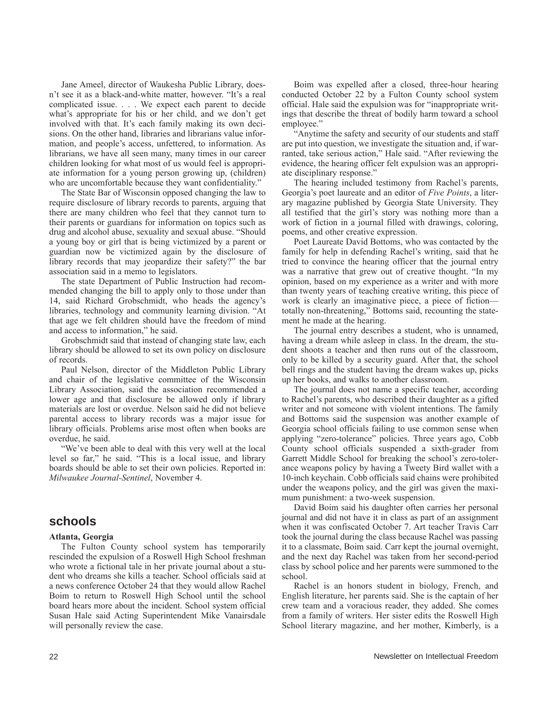Jane Ameel, director of Waukesha Public Library, doesn't see it as a black-and-white matter, however. "It's a real complicated issue. . . . We expect each parent to decide what's appropriate for his or her child, and we don't get involved with that. It's each family making its own decisions. On the other hand, libraries and librarians value information, and people's access, unfettered, to information. As librarians, we have all seen many, many times in our career children looking for what most of us would feel is appropriate information for a young person growing up, (children) who are uncomfortable because they want confidentiality."

The State Bar of Wisconsin opposed changing the law to require disclosure of library records to parents, arguing that there are many children who feel that they cannot turn to their parents or guardians for information on topics such as drug and alcohol abuse, sexuality and sexual abuse. "Should a young boy or girl that is being victimized by a parent or guardian now be victimized again by the disclosure of library records that may jeopardize their safety?" the bar association said in a memo to legislators.

The state Department of Public Instruction had recommended changing the bill to apply only to those under than 14, said Richard Grobschmidt, who heads the agency's libraries, technology and community learning division. "At that age we felt children should have the freedom of mind and access to information," he said.

Grobschmidt said that instead of changing state law, each library should be allowed to set its own policy on disclosure of records.

Paul Nelson, director of the Middleton Public Library and chair of the legislative committee of the Wisconsin Library Association, said the association recommended a lower age and that disclosure be allowed only if library materials are lost or overdue. Nelson said he did not believe parental access to library records was a major issue for library officials. Problems arise most often when books are overdue, he said.

"We've been able to deal with this very well at the local level so far," he said. "This is a local issue, and library boards should be able to set their own policies. Reported in: *Milwaukee Journal-Sentinel*, November 4.

## **schools**

## **Atlanta, Georgia**

The Fulton County school system has temporarily rescinded the expulsion of a Roswell High School freshman who wrote a fictional tale in her private journal about a student who dreams she kills a teacher. School officials said at a news conference October 24 that they would allow Rachel Boim to return to Roswell High School until the school board hears more about the incident. School system official Susan Hale said Acting Superintendent Mike Vanairsdale will personally review the case.

Boim was expelled after a closed, three-hour hearing conducted October 22 by a Fulton County school system official. Hale said the expulsion was for "inappropriate writings that describe the threat of bodily harm toward a school employee."

"Anytime the safety and security of our students and staff are put into question, we investigate the situation and, if warranted, take serious action," Hale said. "After reviewing the evidence, the hearing officer felt expulsion was an appropriate disciplinary response."

The hearing included testimony from Rachel's parents, Georgia's poet laureate and an editor of *Five Points*, a literary magazine published by Georgia State University. They all testified that the girl's story was nothing more than a work of fiction in a journal filled with drawings, coloring, poems, and other creative expression.

Poet Laureate David Bottoms, who was contacted by the family for help in defending Rachel's writing, said that he tried to convince the hearing officer that the journal entry was a narrative that grew out of creative thought. "In my opinion, based on my experience as a writer and with more than twenty years of teaching creative writing, this piece of work is clearly an imaginative piece, a piece of fiction totally non-threatening," Bottoms said, recounting the statement he made at the hearing.

The journal entry describes a student, who is unnamed, having a dream while asleep in class. In the dream, the student shoots a teacher and then runs out of the classroom, only to be killed by a security guard. After that, the school bell rings and the student having the dream wakes up, picks up her books, and walks to another classroom.

The journal does not name a specific teacher, according to Rachel's parents, who described their daughter as a gifted writer and not someone with violent intentions. The family and Bottoms said the suspension was another example of Georgia school officials failing to use common sense when applying "zero-tolerance" policies. Three years ago, Cobb County school officials suspended a sixth-grader from Garrett Middle School for breaking the school's zero-tolerance weapons policy by having a Tweety Bird wallet with a 10-inch keychain. Cobb officials said chains were prohibited under the weapons policy, and the girl was given the maximum punishment: a two-week suspension.

David Boim said his daughter often carries her personal journal and did not have it in class as part of an assignment when it was confiscated October 7. Art teacher Travis Carr took the journal during the class because Rachel was passing it to a classmate, Boim said. Carr kept the journal overnight, and the next day Rachel was taken from her second-period class by school police and her parents were summoned to the school.

Rachel is an honors student in biology, French, and English literature, her parents said. She is the captain of her crew team and a voracious reader, they added. She comes from a family of writers. Her sister edits the Roswell High School literary magazine, and her mother, Kimberly, is a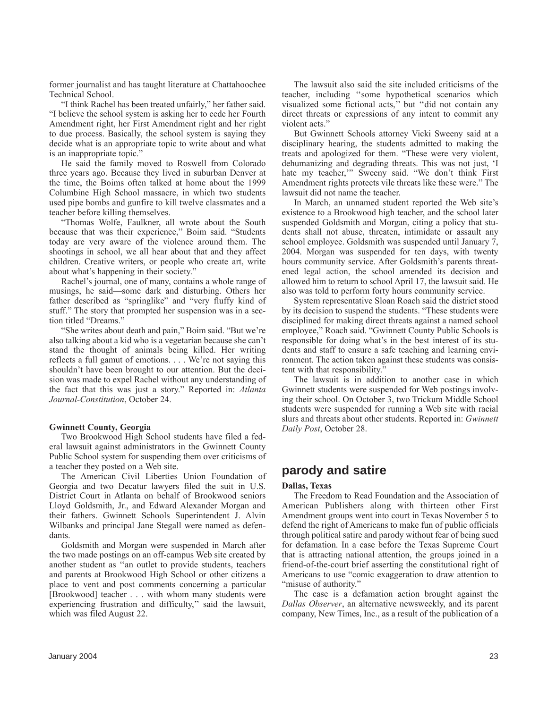former journalist and has taught literature at Chattahoochee Technical School.

"I think Rachel has been treated unfairly," her father said. "I believe the school system is asking her to cede her Fourth Amendment right, her First Amendment right and her right to due process. Basically, the school system is saying they decide what is an appropriate topic to write about and what is an inappropriate topic."

He said the family moved to Roswell from Colorado three years ago. Because they lived in suburban Denver at the time, the Boims often talked at home about the 1999 Columbine High School massacre, in which two students used pipe bombs and gunfire to kill twelve classmates and a teacher before killing themselves.

"Thomas Wolfe, Faulkner, all wrote about the South because that was their experience," Boim said. "Students today are very aware of the violence around them. The shootings in school, we all hear about that and they affect children. Creative writers, or people who create art, write about what's happening in their society."

Rachel's journal, one of many, contains a whole range of musings, he said—some dark and disturbing. Others her father described as "springlike" and "very fluffy kind of stuff." The story that prompted her suspension was in a section titled "Dreams."

"She writes about death and pain," Boim said. "But we're also talking about a kid who is a vegetarian because she can't stand the thought of animals being killed. Her writing reflects a full gamut of emotions. . . . We're not saying this shouldn't have been brought to our attention. But the decision was made to expel Rachel without any understanding of the fact that this was just a story." Reported in: *Atlanta Journal-Constitution*, October 24.

### **Gwinnett County, Georgia**

Two Brookwood High School students have filed a federal lawsuit against administrators in the Gwinnett County Public School system for suspending them over criticisms of a teacher they posted on a Web site.

The American Civil Liberties Union Foundation of Georgia and two Decatur lawyers filed the suit in U.S. District Court in Atlanta on behalf of Brookwood seniors Lloyd Goldsmith, Jr., and Edward Alexander Morgan and their fathers. Gwinnett Schools Superintendent J. Alvin Wilbanks and principal Jane Stegall were named as defendants.

Goldsmith and Morgan were suspended in March after the two made postings on an off-campus Web site created by another student as ''an outlet to provide students, teachers and parents at Brookwood High School or other citizens a place to vent and post comments concerning a particular [Brookwood] teacher . . . with whom many students were experiencing frustration and difficulty,'' said the lawsuit, which was filed August 22.

The lawsuit also said the site included criticisms of the teacher, including ''some hypothetical scenarios which visualized some fictional acts,'' but ''did not contain any direct threats or expressions of any intent to commit any violent acts."

But Gwinnett Schools attorney Vicki Sweeny said at a disciplinary hearing, the students admitted to making the treats and apologized for them. "These were very violent, dehumanizing and degrading threats. This was not just, 'I hate my teacher,'" Sweeny said. "We don't think First Amendment rights protects vile threats like these were." The lawsuit did not name the teacher.

In March, an unnamed student reported the Web site's existence to a Brookwood high teacher, and the school later suspended Goldsmith and Morgan, citing a policy that students shall not abuse, threaten, intimidate or assault any school employee. Goldsmith was suspended until January 7, 2004. Morgan was suspended for ten days, with twenty hours community service. After Goldsmith's parents threatened legal action, the school amended its decision and allowed him to return to school April 17, the lawsuit said. He also was told to perform forty hours community service.

System representative Sloan Roach said the district stood by its decision to suspend the students. "These students were disciplined for making direct threats against a named school employee," Roach said. "Gwinnett County Public Schools is responsible for doing what's in the best interest of its students and staff to ensure a safe teaching and learning environment. The action taken against these students was consistent with that responsibility."

The lawsuit is in addition to another case in which Gwinnett students were suspended for Web postings involving their school. On October 3, two Trickum Middle School students were suspended for running a Web site with racial slurs and threats about other students. Reported in: *Gwinnett Daily Post*, October 28.

## **parody and satire**

## **Dallas, Texas**

The Freedom to Read Foundation and the Association of American Publishers along with thirteen other First Amendment groups went into court in Texas November 5 to defend the right of Americans to make fun of public officials through political satire and parody without fear of being sued for defamation. In a case before the Texas Supreme Court that is attracting national attention, the groups joined in a friend-of-the-court brief asserting the constitutional right of Americans to use "comic exaggeration to draw attention to "misuse of authority."

The case is a defamation action brought against the *Dallas Observer*, an alternative newsweekly, and its parent company, New Times, Inc., as a result of the publication of a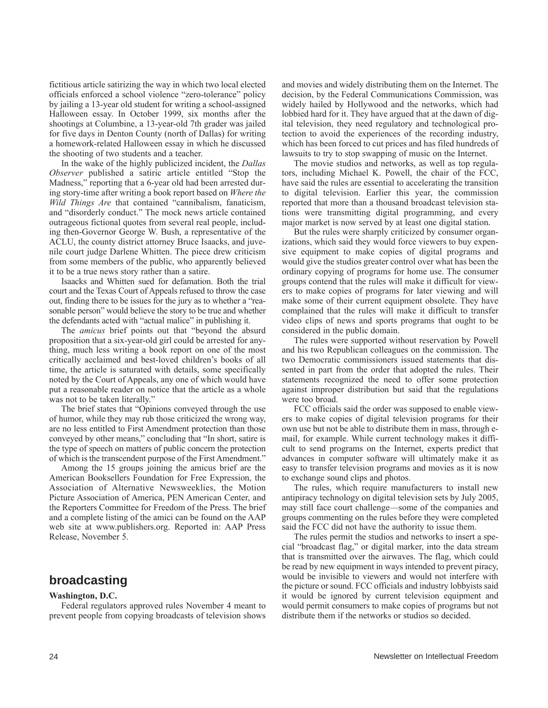fictitious article satirizing the way in which two local elected officials enforced a school violence "zero-tolerance" policy by jailing a 13-year old student for writing a school-assigned Halloween essay. In October 1999, six months after the shootings at Columbine, a 13-year-old 7th grader was jailed for five days in Denton County (north of Dallas) for writing a homework-related Halloween essay in which he discussed the shooting of two students and a teacher.

In the wake of the highly publicized incident, the *Dallas Observer* published a satiric article entitled "Stop the Madness," reporting that a 6-year old had been arrested during story-time after writing a book report based on *Where the Wild Things Are* that contained "cannibalism, fanaticism, and "disorderly conduct." The mock news article contained outrageous fictional quotes from several real people, including then-Governor George W. Bush, a representative of the ACLU, the county district attorney Bruce Isaacks, and juvenile court judge Darlene Whitten. The piece drew criticism from some members of the public, who apparently believed it to be a true news story rather than a satire.

Isaacks and Whitten sued for defamation. Both the trial court and the Texas Court of Appeals refused to throw the case out, finding there to be issues for the jury as to whether a "reasonable person" would believe the story to be true and whether the defendants acted with "actual malice" in publishing it.

The *amicus* brief points out that "beyond the absurd proposition that a six-year-old girl could be arrested for anything, much less writing a book report on one of the most critically acclaimed and best-loved children's books of all time, the article is saturated with details, some specifically noted by the Court of Appeals, any one of which would have put a reasonable reader on notice that the article as a whole was not to be taken literally."

The brief states that "Opinions conveyed through the use of humor, while they may rub those criticized the wrong way, are no less entitled to First Amendment protection than those conveyed by other means," concluding that "In short, satire is the type of speech on matters of public concern the protection of which is the transcendent purpose of the First Amendment."

Among the 15 groups joining the amicus brief are the American Booksellers Foundation for Free Expression, the Association of Alternative Newsweeklies, the Motion Picture Association of America, PEN American Center, and the Reporters Committee for Freedom of the Press. The brief and a complete listing of the amici can be found on the AAP web site at www.publishers.org. Reported in: AAP Press Release, November 5.

## **broadcasting**

## **Washington, D.C.**

Federal regulators approved rules November 4 meant to prevent people from copying broadcasts of television shows and movies and widely distributing them on the Internet. The decision, by the Federal Communications Commission, was widely hailed by Hollywood and the networks, which had lobbied hard for it. They have argued that at the dawn of digital television, they need regulatory and technological protection to avoid the experiences of the recording industry, which has been forced to cut prices and has filed hundreds of lawsuits to try to stop swapping of music on the Internet.

The movie studios and networks, as well as top regulators, including Michael K. Powell, the chair of the FCC, have said the rules are essential to accelerating the transition to digital television. Earlier this year, the commission reported that more than a thousand broadcast television stations were transmitting digital programming, and every major market is now served by at least one digital station.

But the rules were sharply criticized by consumer organizations, which said they would force viewers to buy expensive equipment to make copies of digital programs and would give the studios greater control over what has been the ordinary copying of programs for home use. The consumer groups contend that the rules will make it difficult for viewers to make copies of programs for later viewing and will make some of their current equipment obsolete. They have complained that the rules will make it difficult to transfer video clips of news and sports programs that ought to be considered in the public domain.

The rules were supported without reservation by Powell and his two Republican colleagues on the commission. The two Democratic commissioners issued statements that dissented in part from the order that adopted the rules. Their statements recognized the need to offer some protection against improper distribution but said that the regulations were too broad.

FCC officials said the order was supposed to enable viewers to make copies of digital television programs for their own use but not be able to distribute them in mass, through email, for example. While current technology makes it difficult to send programs on the Internet, experts predict that advances in computer software will ultimately make it as easy to transfer television programs and movies as it is now to exchange sound clips and photos.

The rules, which require manufacturers to install new antipiracy technology on digital television sets by July 2005, may still face court challenge—some of the companies and groups commenting on the rules before they were completed said the FCC did not have the authority to issue them.

The rules permit the studios and networks to insert a special "broadcast flag," or digital marker, into the data stream that is transmitted over the airwaves. The flag, which could be read by new equipment in ways intended to prevent piracy, would be invisible to viewers and would not interfere with the picture or sound. FCC officials and industry lobbyists said it would be ignored by current television equipment and would permit consumers to make copies of programs but not distribute them if the networks or studios so decided.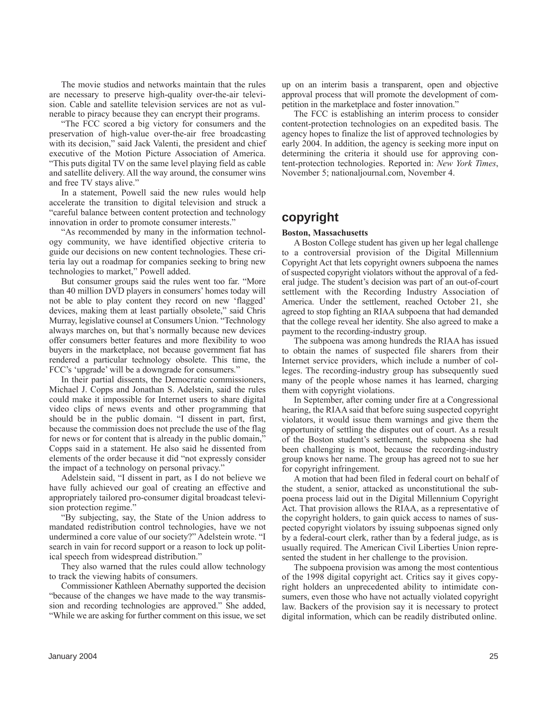The movie studios and networks maintain that the rules are necessary to preserve high-quality over-the-air television. Cable and satellite television services are not as vulnerable to piracy because they can encrypt their programs.

"The FCC scored a big victory for consumers and the preservation of high-value over-the-air free broadcasting with its decision," said Jack Valenti, the president and chief executive of the Motion Picture Association of America. "This puts digital TV on the same level playing field as cable and satellite delivery. All the way around, the consumer wins and free TV stays alive."

In a statement, Powell said the new rules would help accelerate the transition to digital television and struck a "careful balance between content protection and technology innovation in order to promote consumer interests."

"As recommended by many in the information technology community, we have identified objective criteria to guide our decisions on new content technologies. These criteria lay out a roadmap for companies seeking to bring new technologies to market," Powell added.

But consumer groups said the rules went too far. "More than 40 million DVD players in consumers' homes today will not be able to play content they record on new 'flagged' devices, making them at least partially obsolete," said Chris Murray, legislative counsel at Consumers Union. "Technology always marches on, but that's normally because new devices offer consumers better features and more flexibility to woo buyers in the marketplace, not because government fiat has rendered a particular technology obsolete. This time, the FCC's 'upgrade' will be a downgrade for consumers."

In their partial dissents, the Democratic commissioners, Michael J. Copps and Jonathan S. Adelstein, said the rules could make it impossible for Internet users to share digital video clips of news events and other programming that should be in the public domain. "I dissent in part, first, because the commission does not preclude the use of the flag for news or for content that is already in the public domain," Copps said in a statement. He also said he dissented from elements of the order because it did "not expressly consider the impact of a technology on personal privacy."

Adelstein said, "I dissent in part, as I do not believe we have fully achieved our goal of creating an effective and appropriately tailored pro-consumer digital broadcast television protection regime."

"By subjecting, say, the State of the Union address to mandated redistribution control technologies, have we not undermined a core value of our society?" Adelstein wrote. "I search in vain for record support or a reason to lock up political speech from widespread distribution."

They also warned that the rules could allow technology to track the viewing habits of consumers.

Commissioner Kathleen Abernathy supported the decision "because of the changes we have made to the way transmission and recording technologies are approved." She added, "While we are asking for further comment on this issue, we set

up on an interim basis a transparent, open and objective approval process that will promote the development of competition in the marketplace and foster innovation."

The FCC is establishing an interim process to consider content-protection technologies on an expedited basis. The agency hopes to finalize the list of approved technologies by early 2004. In addition, the agency is seeking more input on determining the criteria it should use for approving content-protection technologies. Reported in: *New York Times*, November 5; nationaljournal.com, November 4.

## **copyright**

## **Boston, Massachusetts**

A Boston College student has given up her legal challenge to a controversial provision of the Digital Millennium Copyright Act that lets copyright owners subpoena the names of suspected copyright violators without the approval of a federal judge. The student's decision was part of an out-of-court settlement with the Recording Industry Association of America. Under the settlement, reached October 21, she agreed to stop fighting an RIAA subpoena that had demanded that the college reveal her identity. She also agreed to make a payment to the recording-industry group.

The subpoena was among hundreds the RIAA has issued to obtain the names of suspected file sharers from their Internet service providers, which include a number of colleges. The recording-industry group has subsequently sued many of the people whose names it has learned, charging them with copyright violations.

In September, after coming under fire at a Congressional hearing, the RIAA said that before suing suspected copyright violators, it would issue them warnings and give them the opportunity of settling the disputes out of court. As a result of the Boston student's settlement, the subpoena she had been challenging is moot, because the recording-industry group knows her name. The group has agreed not to sue her for copyright infringement.

A motion that had been filed in federal court on behalf of the student, a senior, attacked as unconstitutional the subpoena process laid out in the Digital Millennium Copyright Act. That provision allows the RIAA, as a representative of the copyright holders, to gain quick access to names of suspected copyright violators by issuing subpoenas signed only by a federal-court clerk, rather than by a federal judge, as is usually required. The American Civil Liberties Union represented the student in her challenge to the provision.

The subpoena provision was among the most contentious of the 1998 digital copyright act. Critics say it gives copyright holders an unprecedented ability to intimidate consumers, even those who have not actually violated copyright law. Backers of the provision say it is necessary to protect digital information, which can be readily distributed online.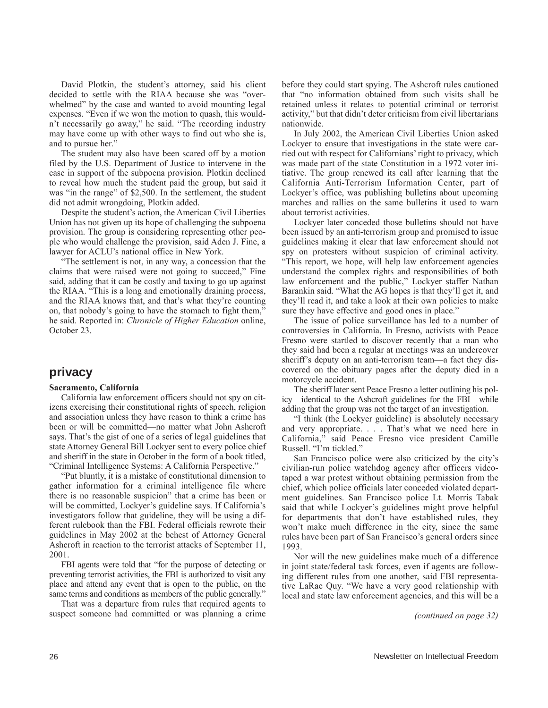David Plotkin, the student's attorney, said his client decided to settle with the RIAA because she was "overwhelmed" by the case and wanted to avoid mounting legal expenses. "Even if we won the motion to quash, this wouldn't necessarily go away," he said. "The recording industry may have come up with other ways to find out who she is, and to pursue her."

The student may also have been scared off by a motion filed by the U.S. Department of Justice to intervene in the case in support of the subpoena provision. Plotkin declined to reveal how much the student paid the group, but said it was "in the range" of \$2,500. In the settlement, the student did not admit wrongdoing, Plotkin added.

Despite the student's action, the American Civil Liberties Union has not given up its hope of challenging the subpoena provision. The group is considering representing other people who would challenge the provision, said Aden J. Fine, a lawyer for ACLU's national office in New York.

"The settlement is not, in any way, a concession that the claims that were raised were not going to succeed," Fine said, adding that it can be costly and taxing to go up against the RIAA. "This is a long and emotionally draining process, and the RIAA knows that, and that's what they're counting on, that nobody's going to have the stomach to fight them, he said. Reported in: *Chronicle of Higher Education* online, October 23.

## **privacy**

## **Sacramento, California**

California law enforcement officers should not spy on citizens exercising their constitutional rights of speech, religion and association unless they have reason to think a crime has been or will be committed—no matter what John Ashcroft says. That's the gist of one of a series of legal guidelines that state Attorney General Bill Lockyer sent to every police chief and sheriff in the state in October in the form of a book titled, "Criminal Intelligence Systems: A California Perspective."

"Put bluntly, it is a mistake of constitutional dimension to gather information for a criminal intelligence file where there is no reasonable suspicion" that a crime has been or will be committed, Lockyer's guideline says. If California's investigators follow that guideline, they will be using a different rulebook than the FBI. Federal officials rewrote their guidelines in May 2002 at the behest of Attorney General Ashcroft in reaction to the terrorist attacks of September 11, 2001.

FBI agents were told that "for the purpose of detecting or preventing terrorist activities, the FBI is authorized to visit any place and attend any event that is open to the public, on the same terms and conditions as members of the public generally."

That was a departure from rules that required agents to suspect someone had committed or was planning a crime before they could start spying. The Ashcroft rules cautioned that "no information obtained from such visits shall be retained unless it relates to potential criminal or terrorist activity," but that didn't deter criticism from civil libertarians nationwide.

In July 2002, the American Civil Liberties Union asked Lockyer to ensure that investigations in the state were carried out with respect for Californians' right to privacy, which was made part of the state Constitution in a 1972 voter initiative. The group renewed its call after learning that the California Anti-Terrorism Information Center, part of Lockyer's office, was publishing bulletins about upcoming marches and rallies on the same bulletins it used to warn about terrorist activities.

Lockyer later conceded those bulletins should not have been issued by an anti-terrorism group and promised to issue guidelines making it clear that law enforcement should not spy on protesters without suspicion of criminal activity. "This report, we hope, will help law enforcement agencies understand the complex rights and responsibilities of both law enforcement and the public," Lockyer staffer Nathan Barankin said. "What the AG hopes is that they'll get it, and they'll read it, and take a look at their own policies to make sure they have effective and good ones in place."

The issue of police surveillance has led to a number of controversies in California. In Fresno, activists with Peace Fresno were startled to discover recently that a man who they said had been a regular at meetings was an undercover sheriff's deputy on an anti-terrorism team—a fact they discovered on the obituary pages after the deputy died in a motorcycle accident.

The sheriff later sent Peace Fresno a letter outlining his policy—identical to the Ashcroft guidelines for the FBI—while adding that the group was not the target of an investigation.

"I think (the Lockyer guideline) is absolutely necessary and very appropriate. . . . That's what we need here in California," said Peace Fresno vice president Camille Russell. "I'm tickled."

San Francisco police were also criticized by the city's civilian-run police watchdog agency after officers videotaped a war protest without obtaining permission from the chief, which police officials later conceded violated department guidelines. San Francisco police Lt. Morris Tabak said that while Lockyer's guidelines might prove helpful for departments that don't have established rules, they won't make much difference in the city, since the same rules have been part of San Francisco's general orders since 1993.

Nor will the new guidelines make much of a difference in joint state/federal task forces, even if agents are following different rules from one another, said FBI representative LaRae Quy. "We have a very good relationship with local and state law enforcement agencies, and this will be a

*(continued on page 32)*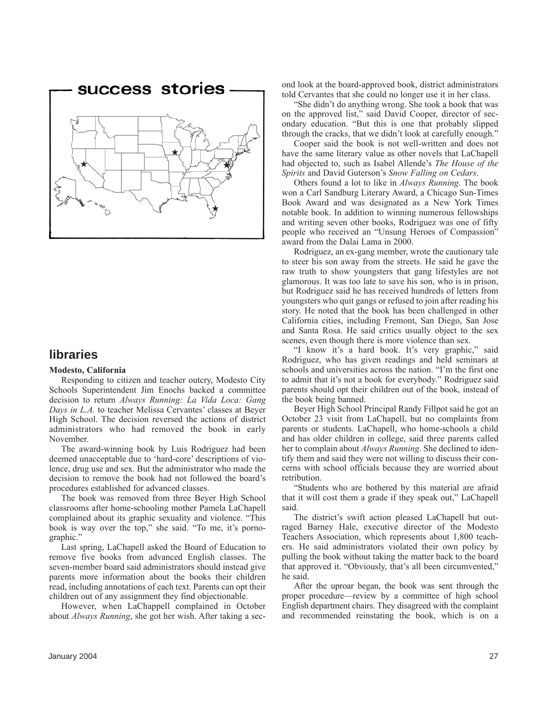

## **libraries**

#### **Modesto, California**

Responding to citizen and teacher outcry, Modesto City Schools Superintendent Jim Enochs backed a committee decision to return *Always Running: La Vida Loca: Gang Days in L.A.* to teacher Melissa Cervantes' classes at Beyer High School. The decision reversed the actions of district administrators who had removed the book in early November.

The award-winning book by Luis Rodriguez had been deemed unacceptable due to 'hard-core' descriptions of violence, drug use and sex. But the administrator who made the decision to remove the book had not followed the board's procedures established for advanced classes.

The book was removed from three Beyer High School classrooms after home-schooling mother Pamela LaChapell complained about its graphic sexuality and violence. "This book is way over the top," she said. "To me, it's pornographic."

Last spring, LaChapell asked the Board of Education to remove five books from advanced English classes. The seven-member board said administrators should instead give parents more information about the books their children read, including annotations of each text. Parents can opt their children out of any assignment they find objectionable.

However, when LaChappell complained in October about *Always Running*, she got her wish. After taking a second look at the board-approved book, district administrators told Cervantes that she could no longer use it in her class.

"She didn't do anything wrong. She took a book that was on the approved list," said David Cooper, director of secondary education. "But this is one that probably slipped through the cracks, that we didn't look at carefully enough."

Cooper said the book is not well-written and does not have the same literary value as other novels that LaChapell had objected to, such as Isabel Allende's *The House of the Spirits* and David Guterson's *Snow Falling on Cedars*.

Others found a lot to like in *Always Running*. The book won a Carl Sandburg Literary Award, a Chicago Sun-Times Book Award and was designated as a New York Times notable book. In addition to winning numerous fellowships and writing seven other books, Rodriguez was one of fifty people who received an "Unsung Heroes of Compassion" award from the Dalai Lama in 2000.

Rodriguez, an ex-gang member, wrote the cautionary tale to steer his son away from the streets. He said he gave the raw truth to show youngsters that gang lifestyles are not glamorous. It was too late to save his son, who is in prison, but Rodriguez said he has received hundreds of letters from youngsters who quit gangs or refused to join after reading his story. He noted that the book has been challenged in other California cities, including Fremont, San Diego, San Jose and Santa Rosa. He said critics usually object to the sex scenes, even though there is more violence than sex.

"I know it's a hard book. It's very graphic," said Rodriguez, who has given readings and held seminars at schools and universities across the nation. "I'm the first one to admit that it's not a book for everybody." Rodriguez said parents should opt their children out of the book, instead of the book being banned.

Beyer High School Principal Randy Fillpot said he got an October 23 visit from LaChapell, but no complaints from parents or students. LaChapell, who home-schools a child and has older children in college, said three parents called her to complain about *Always Running*. She declined to identify them and said they were not willing to discuss their concerns with school officials because they are worried about retribution.

"Students who are bothered by this material are afraid that it will cost them a grade if they speak out," LaChapell said.

The district's swift action pleased LaChapell but outraged Barney Hale, executive director of the Modesto Teachers Association, which represents about 1,800 teachers. He said administrators violated their own policy by pulling the book without taking the matter back to the board that approved it. "Obviously, that's all been circumvented," he said.

After the uproar began, the book was sent through the proper procedure—review by a committee of high school English department chairs. They disagreed with the complaint and recommended reinstating the book, which is on a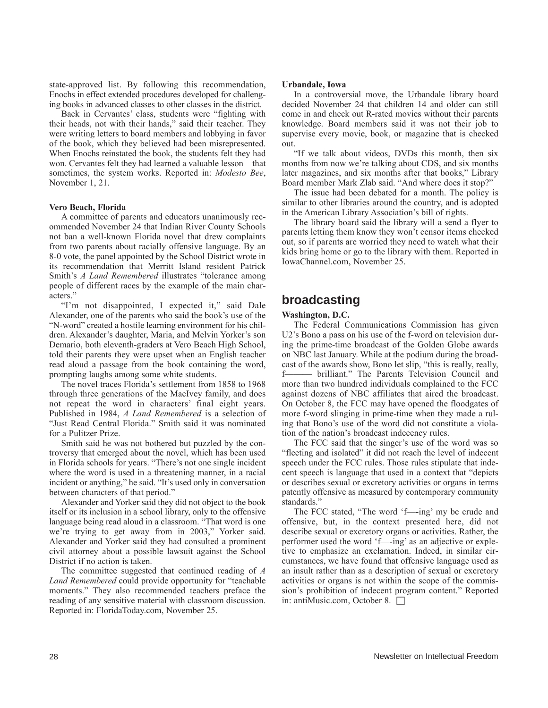state-approved list. By following this recommendation, Enochs in effect extended procedures developed for challenging books in advanced classes to other classes in the district.

Back in Cervantes' class, students were "fighting with their heads, not with their hands," said their teacher. They were writing letters to board members and lobbying in favor of the book, which they believed had been misrepresented. When Enochs reinstated the book, the students felt they had won. Cervantes felt they had learned a valuable lesson—that sometimes, the system works. Reported in: *Modesto Bee*, November 1, 21.

#### **Vero Beach, Florida**

A committee of parents and educators unanimously recommended November 24 that Indian River County Schools not ban a well-known Florida novel that drew complaints from two parents about racially offensive language. By an 8-0 vote, the panel appointed by the School District wrote in its recommendation that Merritt Island resident Patrick Smith's *A Land Remembered* illustrates "tolerance among people of different races by the example of the main characters."

"I'm not disappointed, I expected it," said Dale Alexander, one of the parents who said the book's use of the "N-word" created a hostile learning environment for his children. Alexander's daughter, Maria, and Melvin Yorker's son Demario, both eleventh-graders at Vero Beach High School, told their parents they were upset when an English teacher read aloud a passage from the book containing the word, prompting laughs among some white students.

The novel traces Florida's settlement from 1858 to 1968 through three generations of the MacIvey family, and does not repeat the word in characters' final eight years. Published in 1984, *A Land Remembered* is a selection of "Just Read Central Florida." Smith said it was nominated for a Pulitzer Prize.

Smith said he was not bothered but puzzled by the controversy that emerged about the novel, which has been used in Florida schools for years. "There's not one single incident where the word is used in a threatening manner, in a racial incident or anything," he said. "It's used only in conversation between characters of that period."

Alexander and Yorker said they did not object to the book itself or its inclusion in a school library, only to the offensive language being read aloud in a classroom. "That word is one we're trying to get away from in 2003," Yorker said. Alexander and Yorker said they had consulted a prominent civil attorney about a possible lawsuit against the School District if no action is taken.

The committee suggested that continued reading of *A Land Remembered* could provide opportunity for "teachable moments." They also recommended teachers preface the reading of any sensitive material with classroom discussion. Reported in: FloridaToday.com, November 25.

#### **Urbandale, Iowa**

In a controversial move, the Urbandale library board decided November 24 that children 14 and older can still come in and check out R-rated movies without their parents knowledge. Board members said it was not their job to supervise every movie, book, or magazine that is checked out.

"If we talk about videos, DVDs this month, then six months from now we're talking about CDS, and six months later magazines, and six months after that books," Library Board member Mark Zlab said. "And where does it stop?"

The issue had been debated for a month. The policy is similar to other libraries around the country, and is adopted in the American Library Association's bill of rights.

The library board said the library will a send a flyer to parents letting them know they won't censor items checked out, so if parents are worried they need to watch what their kids bring home or go to the library with them. Reported in IowaChannel.com, November 25.

## **broadcasting**

## **Washington, D.C.**

The Federal Communications Commission has given U2's Bono a pass on his use of the f-word on television during the prime-time broadcast of the Golden Globe awards on NBC last January. While at the podium during the broadcast of the awards show, Bono let slip, "this is really, really, f——— brilliant." The Parents Television Council and more than two hundred individuals complained to the FCC against dozens of NBC affiliates that aired the broadcast. On October 8, the FCC may have opened the floodgates of more f-word slinging in prime-time when they made a ruling that Bono's use of the word did not constitute a violation of the nation's broadcast indecency rules.

The FCC said that the singer's use of the word was so "fleeting and isolated" it did not reach the level of indecent speech under the FCC rules. Those rules stipulate that indecent speech is language that used in a context that "depicts or describes sexual or excretory activities or organs in terms patently offensive as measured by contemporary community standards."

The FCC stated, "The word 'f—-ing' my be crude and offensive, but, in the context presented here, did not describe sexual or excretory organs or activities. Rather, the performer used the word 'f—-ing' as an adjective or expletive to emphasize an exclamation. Indeed, in similar circumstances, we have found that offensive language used as an insult rather than as a description of sexual or excretory activities or organs is not within the scope of the commission's prohibition of indecent program content." Reported in: antiMusic.com, October 8.  $\Box$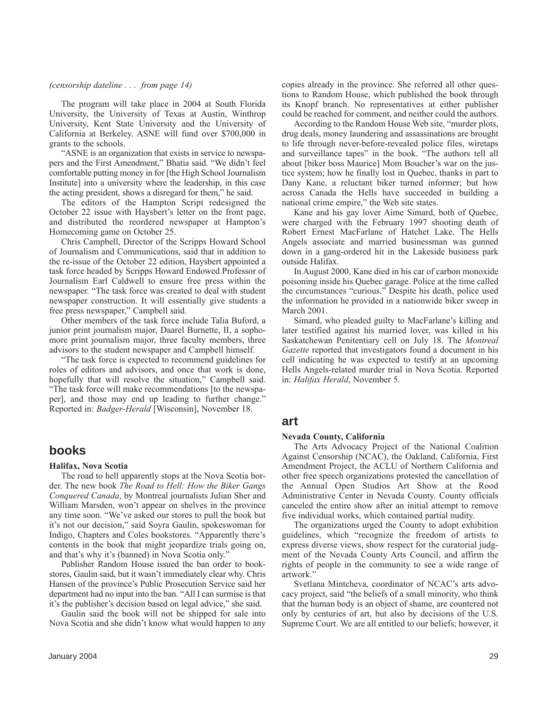## *(censorship dateline . . . from page 14)*

The program will take place in 2004 at South Florida University, the University of Texas at Austin, Winthrop University, Kent State University and the University of California at Berkeley. ASNE will fund over \$700,000 in grants to the schools.

"ASNE is an organization that exists in service to newspapers and the First Amendment," Bhatia said. "We didn't feel comfortable putting money in for [the High School Journalism Institute] into a university where the leadership, in this case the acting president, shows a disregard for them," he said.

The editors of the Hampton Script redesigned the October 22 issue with Haysbert's letter on the front page, and distributed the reordered newspaper at Hampton's Homecoming game on October 25.

Chris Campbell, Director of the Scripps Howard School of Journalism and Communications, said that in addition to the re-issue of the October 22 edition, Haysbert appointed a task force headed by Scripps Howard Endowed Professor of Journalism Earl Caldwell to ensure free press within the newspaper. "The task force was created to deal with student newspaper construction. It will essentially give students a free press newspaper," Campbell said.

Other members of the task force include Talia Buford, a junior print journalism major, Daarel Burnette, II, a sophomore print journalism major, three faculty members, three advisors to the student newspaper and Campbell himself.

"The task force is expected to recommend guidelines for roles of editors and advisors, and once that work is done, hopefully that will resolve the situation," Campbell said. "The task force will make recommendations [to the newspaper], and those may end up leading to further change." Reported in: *Badger-Herald* [Wisconsin], November 18.

## **books**

#### **Halifax, Nova Scotia**

The road to hell apparently stops at the Nova Scotia border. The new book *The Road to Hell: How the Biker Gangs Conquered Canada*, by Montreal journalists Julian Sher and William Marsden, won't appear on shelves in the province any time soon. "We've asked our stores to pull the book but it's not our decision," said Soyra Gaulin, spokeswoman for Indigo, Chapters and Coles bookstores. "Apparently there's contents in the book that might jeopardize trials going on, and that's why it's (banned) in Nova Scotia only."

Publisher Random House issued the ban order to bookstores, Gaulin said, but it wasn't immediately clear why. Chris Hansen of the province's Public Prosecution Service said her department had no input into the ban. "All I can surmise is that it's the publisher's decision based on legal advice," she said.

Gaulin said the book will not be shipped for sale into Nova Scotia and she didn't know what would happen to any copies already in the province. She referred all other questions to Random House, which published the book through its Knopf branch. No representatives at either publisher could be reached for comment, and neither could the authors.

According to the Random House Web site, "murder plots, drug deals, money laundering and assassinations are brought to life through never-before-revealed police files, wiretaps and surveillance tapes" in the book. "The authors tell all about [biker boss Maurice] Mom Boucher's war on the justice system; how he finally lost in Quebec, thanks in part to Dany Kane, a reluctant biker turned informer; but how across Canada the Hells have succeeded in building a national crime empire," the Web site states.

Kane and his gay lover Aime Simard, both of Quebec, were charged with the February 1997 shooting death of Robert Ernest MacFarlane of Hatchet Lake. The Hells Angels associate and married businessman was gunned down in a gang-ordered hit in the Lakeside business park outside Halifax.

In August 2000, Kane died in his car of carbon monoxide poisoning inside his Quebec garage. Police at the time called the circumstances "curious." Despite his death, police used the information he provided in a nationwide biker sweep in March 2001.

Simard, who pleaded guilty to MacFarlane's killing and later testified against his married lover, was killed in his Saskatchewan Penitentiary cell on July 18. The *Montreal Gazette* reported that investigators found a document in his cell indicating he was expected to testify at an upcoming Hells Angels-related murder trial in Nova Scotia. Reported in: *Halifax Herald*, November 5.

## **art**

### **Nevada County, California**

The Arts Advocacy Project of the National Coalition Against Censorship (NCAC), the Oakland, California, First Amendment Project, the ACLU of Northern California and other free speech organizations protested the cancellation of the Annual Open Studios Art Show at the Rood Administrative Center in Nevada County. County officials canceled the entire show after an initial attempt to remove five individual works, which contained partial nudity.

The organizations urged the County to adopt exhibition guidelines, which "recognize the freedom of artists to express diverse views, show respect for the curatorial judgment of the Nevada County Arts Council, and affirm the rights of people in the community to see a wide range of artwork."

Svetlana Mintcheva, coordinator of NCAC's arts advocacy project, said "the beliefs of a small minority, who think that the human body is an object of shame, are countered not only by centuries of art, but also by decisions of the U.S. Supreme Court. We are all entitled to our beliefs; however, it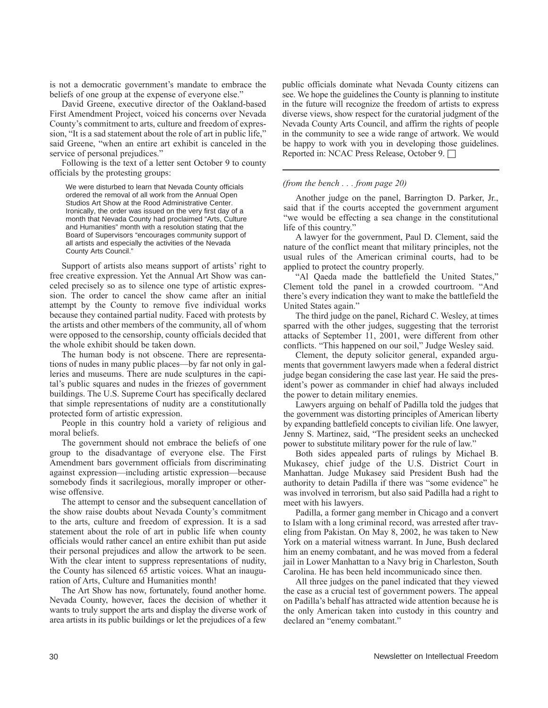is not a democratic government's mandate to embrace the beliefs of one group at the expense of everyone else."

David Greene, executive director of the Oakland-based First Amendment Project, voiced his concerns over Nevada County's commitment to arts, culture and freedom of expression, "It is a sad statement about the role of art in public life," said Greene, "when an entire art exhibit is canceled in the service of personal prejudices."

Following is the text of a letter sent October 9 to county officials by the protesting groups:

We were disturbed to learn that Nevada County officials ordered the removal of all work from the Annual Open Studios Art Show at the Rood Administrative Center. Ironically, the order was issued on the very first day of a month that Nevada County had proclaimed "Arts, Culture and Humanities" month with a resolution stating that the Board of Supervisors "encourages community support of all artists and especially the activities of the Nevada County Arts Council."

Support of artists also means support of artists' right to free creative expression. Yet the Annual Art Show was canceled precisely so as to silence one type of artistic expression. The order to cancel the show came after an initial attempt by the County to remove five individual works because they contained partial nudity. Faced with protests by the artists and other members of the community, all of whom were opposed to the censorship, county officials decided that the whole exhibit should be taken down.

The human body is not obscene. There are representations of nudes in many public places—by far not only in galleries and museums. There are nude sculptures in the capital's public squares and nudes in the friezes of government buildings. The U.S. Supreme Court has specifically declared that simple representations of nudity are a constitutionally protected form of artistic expression.

People in this country hold a variety of religious and moral beliefs.

The government should not embrace the beliefs of one group to the disadvantage of everyone else. The First Amendment bars government officials from discriminating against expression—including artistic expression—because somebody finds it sacrilegious, morally improper or otherwise offensive.

The attempt to censor and the subsequent cancellation of the show raise doubts about Nevada County's commitment to the arts, culture and freedom of expression. It is a sad statement about the role of art in public life when county officials would rather cancel an entire exhibit than put aside their personal prejudices and allow the artwork to be seen. With the clear intent to suppress representations of nudity, the County has silenced 65 artistic voices. What an inauguration of Arts, Culture and Humanities month!

The Art Show has now, fortunately, found another home. Nevada County, however, faces the decision of whether it wants to truly support the arts and display the diverse work of area artists in its public buildings or let the prejudices of a few

public officials dominate what Nevada County citizens can see. We hope the guidelines the County is planning to institute in the future will recognize the freedom of artists to express diverse views, show respect for the curatorial judgment of the Nevada County Arts Council, and affirm the rights of people in the community to see a wide range of artwork. We would be happy to work with you in developing those guidelines. Reported in: NCAC Press Release, October 9.

#### *(from the bench . . . from page 20)*

Another judge on the panel, Barrington D. Parker, Jr., said that if the courts accepted the government argument "we would be effecting a sea change in the constitutional life of this country."

A lawyer for the government, Paul D. Clement, said the nature of the conflict meant that military principles, not the usual rules of the American criminal courts, had to be applied to protect the country properly.

"Al Qaeda made the battlefield the United States," Clement told the panel in a crowded courtroom. "And there's every indication they want to make the battlefield the United States again."

The third judge on the panel, Richard C. Wesley, at times sparred with the other judges, suggesting that the terrorist attacks of September 11, 2001, were different from other conflicts. "This happened on our soil," Judge Wesley said.

Clement, the deputy solicitor general, expanded arguments that government lawyers made when a federal district judge began considering the case last year. He said the president's power as commander in chief had always included the power to detain military enemies.

Lawyers arguing on behalf of Padilla told the judges that the government was distorting principles of American liberty by expanding battlefield concepts to civilian life. One lawyer, Jenny S. Martinez, said, "The president seeks an unchecked power to substitute military power for the rule of law."

Both sides appealed parts of rulings by Michael B. Mukasey, chief judge of the U.S. District Court in Manhattan. Judge Mukasey said President Bush had the authority to detain Padilla if there was "some evidence" he was involved in terrorism, but also said Padilla had a right to meet with his lawyers.

Padilla, a former gang member in Chicago and a convert to Islam with a long criminal record, was arrested after traveling from Pakistan. On May 8, 2002, he was taken to New York on a material witness warrant. In June, Bush declared him an enemy combatant, and he was moved from a federal jail in Lower Manhattan to a Navy brig in Charleston, South Carolina. He has been held incommunicado since then.

All three judges on the panel indicated that they viewed the case as a crucial test of government powers. The appeal on Padilla's behalf has attracted wide attention because he is the only American taken into custody in this country and declared an "enemy combatant."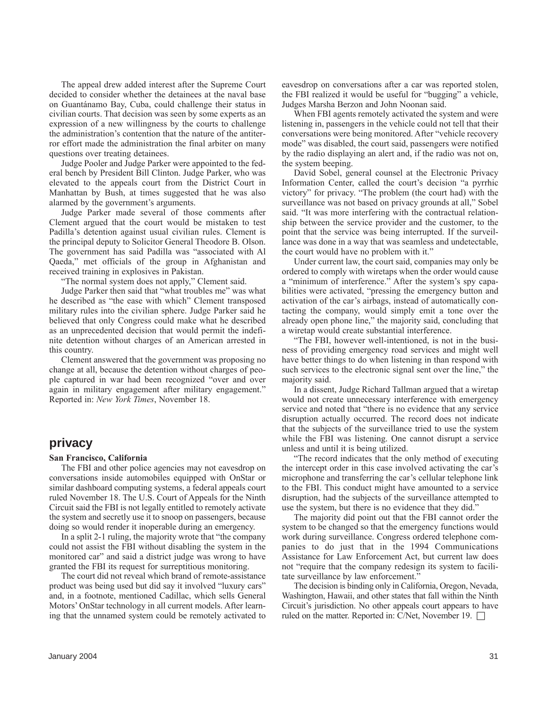The appeal drew added interest after the Supreme Court decided to consider whether the detainees at the naval base on Guantánamo Bay, Cuba, could challenge their status in civilian courts. That decision was seen by some experts as an expression of a new willingness by the courts to challenge the administration's contention that the nature of the antiterror effort made the administration the final arbiter on many questions over treating detainees.

Judge Pooler and Judge Parker were appointed to the federal bench by President Bill Clinton. Judge Parker, who was elevated to the appeals court from the District Court in Manhattan by Bush, at times suggested that he was also alarmed by the government's arguments.

Judge Parker made several of those comments after Clement argued that the court would be mistaken to test Padilla's detention against usual civilian rules. Clement is the principal deputy to Solicitor General Theodore B. Olson. The government has said Padilla was "associated with Al Qaeda," met officials of the group in Afghanistan and received training in explosives in Pakistan.

"The normal system does not apply," Clement said.

Judge Parker then said that "what troubles me" was what he described as "the ease with which" Clement transposed military rules into the civilian sphere. Judge Parker said he believed that only Congress could make what he described as an unprecedented decision that would permit the indefinite detention without charges of an American arrested in this country.

Clement answered that the government was proposing no change at all, because the detention without charges of people captured in war had been recognized "over and over again in military engagement after military engagement." Reported in: *New York Times*, November 18.

## **privacy**

## **San Francisco, California**

The FBI and other police agencies may not eavesdrop on conversations inside automobiles equipped with OnStar or similar dashboard computing systems, a federal appeals court ruled November 18. The U.S. Court of Appeals for the Ninth Circuit said the FBI is not legally entitled to remotely activate the system and secretly use it to snoop on passengers, because doing so would render it inoperable during an emergency.

In a split 2-1 ruling, the majority wrote that "the company could not assist the FBI without disabling the system in the monitored car" and said a district judge was wrong to have granted the FBI its request for surreptitious monitoring.

The court did not reveal which brand of remote-assistance product was being used but did say it involved "luxury cars" and, in a footnote, mentioned Cadillac, which sells General Motors' OnStar technology in all current models. After learning that the unnamed system could be remotely activated to eavesdrop on conversations after a car was reported stolen, the FBI realized it would be useful for "bugging" a vehicle, Judges Marsha Berzon and John Noonan said.

When FBI agents remotely activated the system and were listening in, passengers in the vehicle could not tell that their conversations were being monitored. After "vehicle recovery mode" was disabled, the court said, passengers were notified by the radio displaying an alert and, if the radio was not on, the system beeping.

David Sobel, general counsel at the Electronic Privacy Information Center, called the court's decision "a pyrrhic victory" for privacy. "The problem (the court had) with the surveillance was not based on privacy grounds at all," Sobel said. "It was more interfering with the contractual relationship between the service provider and the customer, to the point that the service was being interrupted. If the surveillance was done in a way that was seamless and undetectable, the court would have no problem with it."

Under current law, the court said, companies may only be ordered to comply with wiretaps when the order would cause a "minimum of interference." After the system's spy capabilities were activated, "pressing the emergency button and activation of the car's airbags, instead of automatically contacting the company, would simply emit a tone over the already open phone line," the majority said, concluding that a wiretap would create substantial interference.

"The FBI, however well-intentioned, is not in the business of providing emergency road services and might well have better things to do when listening in than respond with such services to the electronic signal sent over the line," the majority said.

In a dissent, Judge Richard Tallman argued that a wiretap would not create unnecessary interference with emergency service and noted that "there is no evidence that any service disruption actually occurred. The record does not indicate that the subjects of the surveillance tried to use the system while the FBI was listening. One cannot disrupt a service unless and until it is being utilized.

"The record indicates that the only method of executing the intercept order in this case involved activating the car's microphone and transferring the car's cellular telephone link to the FBI. This conduct might have amounted to a service disruption, had the subjects of the surveillance attempted to use the system, but there is no evidence that they did."

The majority did point out that the FBI cannot order the system to be changed so that the emergency functions would work during surveillance. Congress ordered telephone companies to do just that in the 1994 Communications Assistance for Law Enforcement Act, but current law does not "require that the company redesign its system to facilitate surveillance by law enforcement."

The decision is binding only in California, Oregon, Nevada, Washington, Hawaii, and other states that fall within the Ninth Circuit's jurisdiction. No other appeals court appears to have ruled on the matter. Reported in: C/Net, November 19.  $\Box$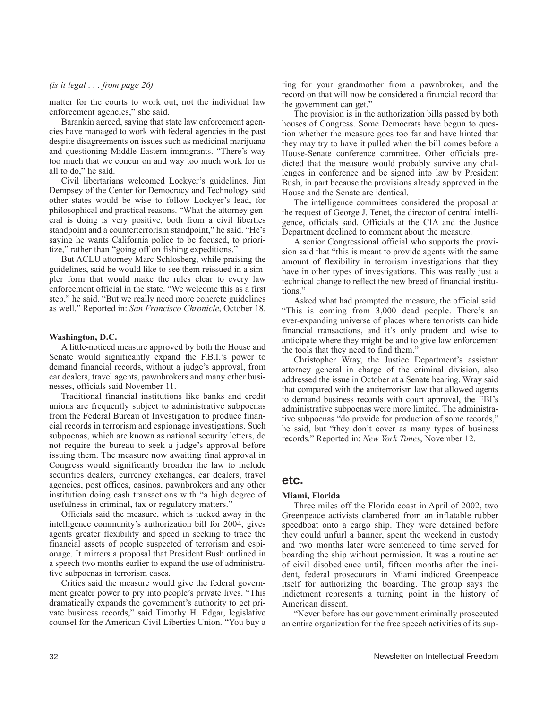## *(is it legal . . . from page 26)*

matter for the courts to work out, not the individual law enforcement agencies," she said.

Barankin agreed, saying that state law enforcement agencies have managed to work with federal agencies in the past despite disagreements on issues such as medicinal marijuana and questioning Middle Eastern immigrants. "There's way too much that we concur on and way too much work for us all to do," he said.

Civil libertarians welcomed Lockyer's guidelines. Jim Dempsey of the Center for Democracy and Technology said other states would be wise to follow Lockyer's lead, for philosophical and practical reasons. "What the attorney general is doing is very positive, both from a civil liberties standpoint and a counterterrorism standpoint," he said. "He's saying he wants California police to be focused, to prioritize," rather than "going off on fishing expeditions."

But ACLU attorney Marc Schlosberg, while praising the guidelines, said he would like to see them reissued in a simpler form that would make the rules clear to every law enforcement official in the state. "We welcome this as a first step," he said. "But we really need more concrete guidelines as well." Reported in: *San Francisco Chronicle*, October 18.

#### **Washington, D.C.**

A little-noticed measure approved by both the House and Senate would significantly expand the F.B.I.'s power to demand financial records, without a judge's approval, from car dealers, travel agents, pawnbrokers and many other businesses, officials said November 11.

Traditional financial institutions like banks and credit unions are frequently subject to administrative subpoenas from the Federal Bureau of Investigation to produce financial records in terrorism and espionage investigations. Such subpoenas, which are known as national security letters, do not require the bureau to seek a judge's approval before issuing them. The measure now awaiting final approval in Congress would significantly broaden the law to include securities dealers, currency exchanges, car dealers, travel agencies, post offices, casinos, pawnbrokers and any other institution doing cash transactions with "a high degree of usefulness in criminal, tax or regulatory matters."

Officials said the measure, which is tucked away in the intelligence community's authorization bill for 2004, gives agents greater flexibility and speed in seeking to trace the financial assets of people suspected of terrorism and espionage. It mirrors a proposal that President Bush outlined in a speech two months earlier to expand the use of administrative subpoenas in terrorism cases.

Critics said the measure would give the federal government greater power to pry into people's private lives. "This dramatically expands the government's authority to get private business records," said Timothy H. Edgar, legislative counsel for the American Civil Liberties Union. "You buy a ring for your grandmother from a pawnbroker, and the record on that will now be considered a financial record that the government can get."

The provision is in the authorization bills passed by both houses of Congress. Some Democrats have begun to question whether the measure goes too far and have hinted that they may try to have it pulled when the bill comes before a House-Senate conference committee. Other officials predicted that the measure would probably survive any challenges in conference and be signed into law by President Bush, in part because the provisions already approved in the House and the Senate are identical.

The intelligence committees considered the proposal at the request of George J. Tenet, the director of central intelligence, officials said. Officials at the CIA and the Justice Department declined to comment about the measure.

A senior Congressional official who supports the provision said that "this is meant to provide agents with the same amount of flexibility in terrorism investigations that they have in other types of investigations. This was really just a technical change to reflect the new breed of financial institutions."

Asked what had prompted the measure, the official said: "This is coming from 3,000 dead people. There's an ever-expanding universe of places where terrorists can hide financial transactions, and it's only prudent and wise to anticipate where they might be and to give law enforcement the tools that they need to find them."

Christopher Wray, the Justice Department's assistant attorney general in charge of the criminal division, also addressed the issue in October at a Senate hearing. Wray said that compared with the antiterrorism law that allowed agents to demand business records with court approval, the FBI's administrative subpoenas were more limited. The administrative subpoenas "do provide for production of some records," he said, but "they don't cover as many types of business records." Reported in: *New York Times*, November 12.

## **etc.**

#### **Miami, Florida**

Three miles off the Florida coast in April of 2002, two Greenpeace activists clambered from an inflatable rubber speedboat onto a cargo ship. They were detained before they could unfurl a banner, spent the weekend in custody and two months later were sentenced to time served for boarding the ship without permission. It was a routine act of civil disobedience until, fifteen months after the incident, federal prosecutors in Miami indicted Greenpeace itself for authorizing the boarding. The group says the indictment represents a turning point in the history of American dissent.

"Never before has our government criminally prosecuted an entire organization for the free speech activities of its sup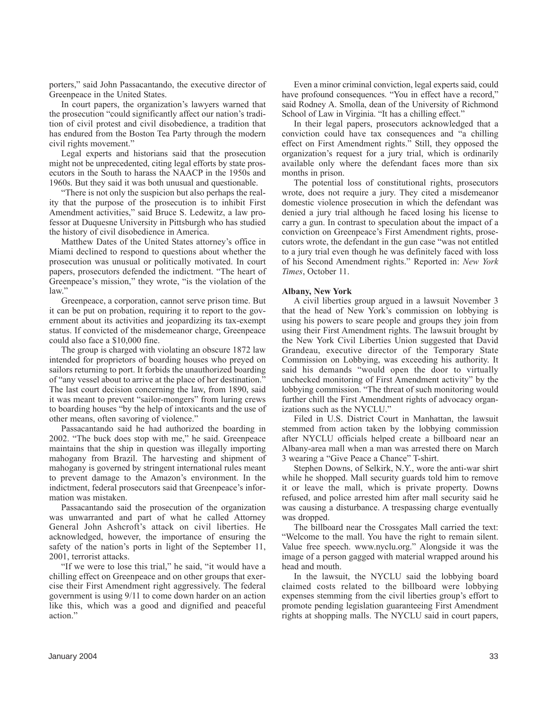porters," said John Passacantando, the executive director of Greenpeace in the United States.

In court papers, the organization's lawyers warned that the prosecution "could significantly affect our nation's tradition of civil protest and civil disobedience, a tradition that has endured from the Boston Tea Party through the modern civil rights movement."

Legal experts and historians said that the prosecution might not be unprecedented, citing legal efforts by state prosecutors in the South to harass the NAACP in the 1950s and 1960s. But they said it was both unusual and questionable.

"There is not only the suspicion but also perhaps the reality that the purpose of the prosecution is to inhibit First Amendment activities," said Bruce S. Ledewitz, a law professor at Duquesne University in Pittsburgh who has studied the history of civil disobedience in America.

Matthew Dates of the United States attorney's office in Miami declined to respond to questions about whether the prosecution was unusual or politically motivated. In court papers, prosecutors defended the indictment. "The heart of Greenpeace's mission," they wrote, "is the violation of the law."

Greenpeace, a corporation, cannot serve prison time. But it can be put on probation, requiring it to report to the government about its activities and jeopardizing its tax-exempt status. If convicted of the misdemeanor charge, Greenpeace could also face a \$10,000 fine.

The group is charged with violating an obscure 1872 law intended for proprietors of boarding houses who preyed on sailors returning to port. It forbids the unauthorized boarding of "any vessel about to arrive at the place of her destination." The last court decision concerning the law, from 1890, said it was meant to prevent "sailor-mongers" from luring crews to boarding houses "by the help of intoxicants and the use of other means, often savoring of violence."

Passacantando said he had authorized the boarding in 2002. "The buck does stop with me," he said. Greenpeace maintains that the ship in question was illegally importing mahogany from Brazil. The harvesting and shipment of mahogany is governed by stringent international rules meant to prevent damage to the Amazon's environment. In the indictment, federal prosecutors said that Greenpeace's information was mistaken.

Passacantando said the prosecution of the organization was unwarranted and part of what he called Attorney General John Ashcroft's attack on civil liberties. He acknowledged, however, the importance of ensuring the safety of the nation's ports in light of the September 11, 2001, terrorist attacks.

"If we were to lose this trial," he said, "it would have a chilling effect on Greenpeace and on other groups that exercise their First Amendment right aggressively. The federal government is using 9/11 to come down harder on an action like this, which was a good and dignified and peaceful action."

Even a minor criminal conviction, legal experts said, could have profound consequences. "You in effect have a record," said Rodney A. Smolla, dean of the University of Richmond School of Law in Virginia. "It has a chilling effect."

In their legal papers, prosecutors acknowledged that a conviction could have tax consequences and "a chilling effect on First Amendment rights." Still, they opposed the organization's request for a jury trial, which is ordinarily available only where the defendant faces more than six months in prison.

The potential loss of constitutional rights, prosecutors wrote, does not require a jury. They cited a misdemeanor domestic violence prosecution in which the defendant was denied a jury trial although he faced losing his license to carry a gun. In contrast to speculation about the impact of a conviction on Greenpeace's First Amendment rights, prosecutors wrote, the defendant in the gun case "was not entitled to a jury trial even though he was definitely faced with loss of his Second Amendment rights." Reported in: *New York Times*, October 11.

#### **Albany, New York**

A civil liberties group argued in a lawsuit November 3 that the head of New York's commission on lobbying is using his powers to scare people and groups they join from using their First Amendment rights. The lawsuit brought by the New York Civil Liberties Union suggested that David Grandeau, executive director of the Temporary State Commission on Lobbying, was exceeding his authority. It said his demands "would open the door to virtually unchecked monitoring of First Amendment activity" by the lobbying commission. "The threat of such monitoring would further chill the First Amendment rights of advocacy organizations such as the NYCLU."

Filed in U.S. District Court in Manhattan, the lawsuit stemmed from action taken by the lobbying commission after NYCLU officials helped create a billboard near an Albany-area mall when a man was arrested there on March 3 wearing a "Give Peace a Chance" T-shirt.

Stephen Downs, of Selkirk, N.Y., wore the anti-war shirt while he shopped. Mall security guards told him to remove it or leave the mall, which is private property. Downs refused, and police arrested him after mall security said he was causing a disturbance. A trespassing charge eventually was dropped.

The billboard near the Crossgates Mall carried the text: "Welcome to the mall. You have the right to remain silent. Value free speech. www.nyclu.org." Alongside it was the image of a person gagged with material wrapped around his head and mouth.

In the lawsuit, the NYCLU said the lobbying board claimed costs related to the billboard were lobbying expenses stemming from the civil liberties group's effort to promote pending legislation guaranteeing First Amendment rights at shopping malls. The NYCLU said in court papers,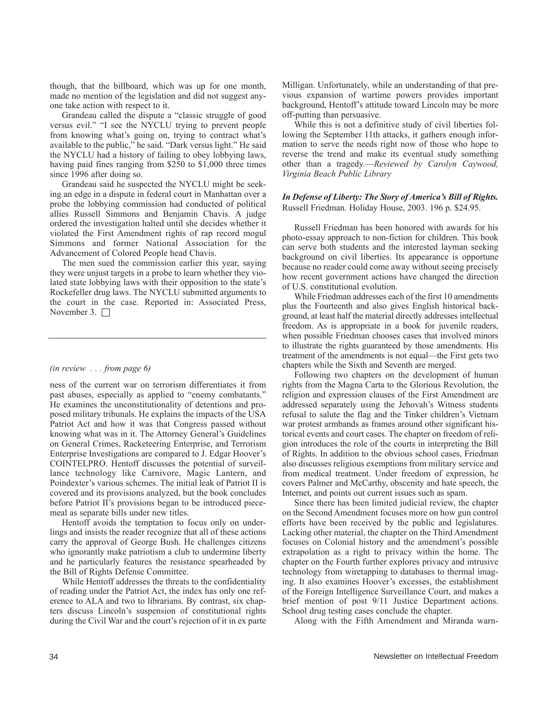though, that the billboard, which was up for one month, made no mention of the legislation and did not suggest anyone take action with respect to it.

Grandeau called the dispute a "classic struggle of good versus evil." "I see the NYCLU trying to prevent people from knowing what's going on, trying to contract what's available to the public," he said. "Dark versus light." He said the NYCLU had a history of failing to obey lobbying laws, having paid fines ranging from \$250 to \$1,000 three times since 1996 after doing so.

Grandeau said he suspected the NYCLU might be seeking an edge in a dispute in federal court in Manhattan over a probe the lobbying commission had conducted of political allies Russell Simmons and Benjamin Chavis. A judge ordered the investigation halted until she decides whether it violated the First Amendment rights of rap record mogul Simmons and former National Association for the Advancement of Colored People head Chavis.

The men sued the commission earlier this year, saying they were unjust targets in a probe to learn whether they violated state lobbying laws with their opposition to the state's Rockefeller drug laws. The NYCLU submitted arguments to the court in the case. Reported in: Associated Press, November 3.  $\Box$ 

#### *(in review . . . from page 6)*

ness of the current war on terrorism differentiates it from past abuses, especially as applied to "enemy combatants." He examines the unconstitutionality of detentions and proposed military tribunals. He explains the impacts of the USA Patriot Act and how it was that Congress passed without knowing what was in it. The Attorney General's Guidelines on General Crimes, Racketeering Enterprise, and Terrorism Enterprise Investigations are compared to J. Edgar Hoover's COINTELPRO. Hentoff discusses the potential of surveillance technology like Carnivore, Magic Lantern, and Poindexter's various schemes. The initial leak of Patriot II is covered and its provisions analyzed, but the book concludes before Patriot II's provisions began to be introduced piecemeal as separate bills under new titles.

Hentoff avoids the temptation to focus only on underlings and insists the reader recognize that all of these actions carry the approval of George Bush. He challenges citizens who ignorantly make patriotism a club to undermine liberty and he particularly features the resistance spearheaded by the Bill of Rights Defense Committee.

While Hentoff addresses the threats to the confidentiality of reading under the Patriot Act, the index has only one reference to ALA and two to librarians. By contrast, six chapters discuss Lincoln's suspension of constitutional rights during the Civil War and the court's rejection of it in ex parte Milligan. Unfortunately, while an understanding of that previous expansion of wartime powers provides important background, Hentoff's attitude toward Lincoln may be more off-putting than persuasive.

While this is not a definitive study of civil liberties following the September 11th attacks, it gathers enough information to serve the needs right now of those who hope to reverse the trend and make its eventual study something other than a tragedy.—*Reviewed by Carolyn Caywood, Virginia Beach Public Library*

*In Defense of Liberty: The Story of America's Bill of Rights.* Russell Friedman. Holiday House, 2003. 196 p. \$24.95.

Russell Friedman has been honored with awards for his photo-essay approach to non-fiction for children. This book can serve both students and the interested layman seeking background on civil liberties. Its appearance is opportune because no reader could come away without seeing precisely how recent government actions have changed the direction of U.S. constitutional evolution.

While Friedman addresses each of the first 10 amendments plus the Fourteenth and also gives English historical background, at least half the material directly addresses intellectual freedom. As is appropriate in a book for juvenile readers, when possible Friedman chooses cases that involved minors to illustrate the rights guaranteed by those amendments. His treatment of the amendments is not equal—the First gets two chapters while the Sixth and Seventh are merged.

Following two chapters on the development of human rights from the Magna Carta to the Glorious Revolution, the religion and expression clauses of the First Amendment are addressed separately using the Jehovah's Witness students refusal to salute the flag and the Tinker children's Vietnam war protest armbands as frames around other significant historical events and court cases. The chapter on freedom of religion introduces the role of the courts in interpreting the Bill of Rights. In addition to the obvious school cases, Friedman also discusses religious exemptions from military service and from medical treatment. Under freedom of expression, he covers Palmer and McCarthy, obscenity and hate speech, the Internet, and points out current issues such as spam.

Since there has been limited judicial review, the chapter on the Second Amendment focuses more on how gun control efforts have been received by the public and legislatures. Lacking other material, the chapter on the Third Amendment focuses on Colonial history and the amendment's possible extrapolation as a right to privacy within the home. The chapter on the Fourth further explores privacy and intrusive technology from wiretapping to databases to thermal imaging. It also examines Hoover's excesses, the establishment of the Foreign Intelligence Surveillance Court, and makes a brief mention of post 9/11 Justice Department actions. School drug testing cases conclude the chapter.

Along with the Fifth Amendment and Miranda warn-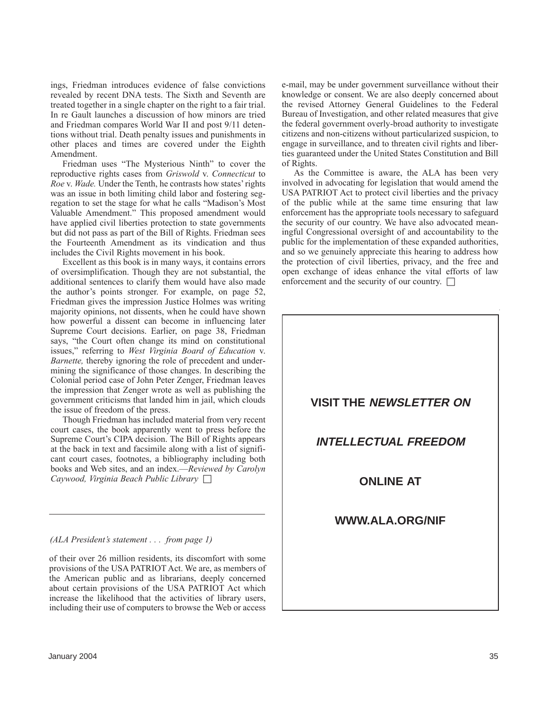ings, Friedman introduces evidence of false convictions revealed by recent DNA tests. The Sixth and Seventh are treated together in a single chapter on the right to a fair trial. In re Gault launches a discussion of how minors are tried and Friedman compares World War II and post 9/11 detentions without trial. Death penalty issues and punishments in other places and times are covered under the Eighth Amendment.

Friedman uses "The Mysterious Ninth" to cover the reproductive rights cases from *Griswold* v. *Connecticut* to *Roe* v. *Wade.* Under the Tenth, he contrasts how states' rights was an issue in both limiting child labor and fostering segregation to set the stage for what he calls "Madison's Most Valuable Amendment." This proposed amendment would have applied civil liberties protection to state governments but did not pass as part of the Bill of Rights. Friedman sees the Fourteenth Amendment as its vindication and thus includes the Civil Rights movement in his book.

Excellent as this book is in many ways, it contains errors of oversimplification. Though they are not substantial, the additional sentences to clarify them would have also made the author's points stronger. For example, on page 52, Friedman gives the impression Justice Holmes was writing majority opinions, not dissents, when he could have shown how powerful a dissent can become in influencing later Supreme Court decisions. Earlier, on page 38, Friedman says, "the Court often change its mind on constitutional issues," referring to *West Virginia Board of Education* v. *Barnette,* thereby ignoring the role of precedent and undermining the significance of those changes. In describing the Colonial period case of John Peter Zenger, Friedman leaves the impression that Zenger wrote as well as publishing the government criticisms that landed him in jail, which clouds the issue of freedom of the press.

Though Friedman has included material from very recent court cases, the book apparently went to press before the Supreme Court's CIPA decision. The Bill of Rights appears at the back in text and facsimile along with a list of significant court cases, footnotes, a bibliography including both books and Web sites, and an index.—*Reviewed by Carolyn Caywood, Virginia Beach Public Library* -

*(ALA President's statement . . . from page 1)*

of their over 26 million residents, its discomfort with some provisions of the USA PATRIOT Act. We are, as members of the American public and as librarians, deeply concerned about certain provisions of the USA PATRIOT Act which increase the likelihood that the activities of library users, including their use of computers to browse the Web or access

e-mail, may be under government surveillance without their knowledge or consent. We are also deeply concerned about the revised Attorney General Guidelines to the Federal Bureau of Investigation, and other related measures that give the federal government overly-broad authority to investigate citizens and non-citizens without particularized suspicion, to engage in surveillance, and to threaten civil rights and liberties guaranteed under the United States Constitution and Bill of Rights.

As the Committee is aware, the ALA has been very involved in advocating for legislation that would amend the USA PATRIOT Act to protect civil liberties and the privacy of the public while at the same time ensuring that law enforcement has the appropriate tools necessary to safeguard the security of our country. We have also advocated meaningful Congressional oversight of and accountability to the public for the implementation of these expanded authorities, and so we genuinely appreciate this hearing to address how the protection of civil liberties, privacy, and the free and open exchange of ideas enhance the vital efforts of law enforcement and the security of our country.  $\Box$